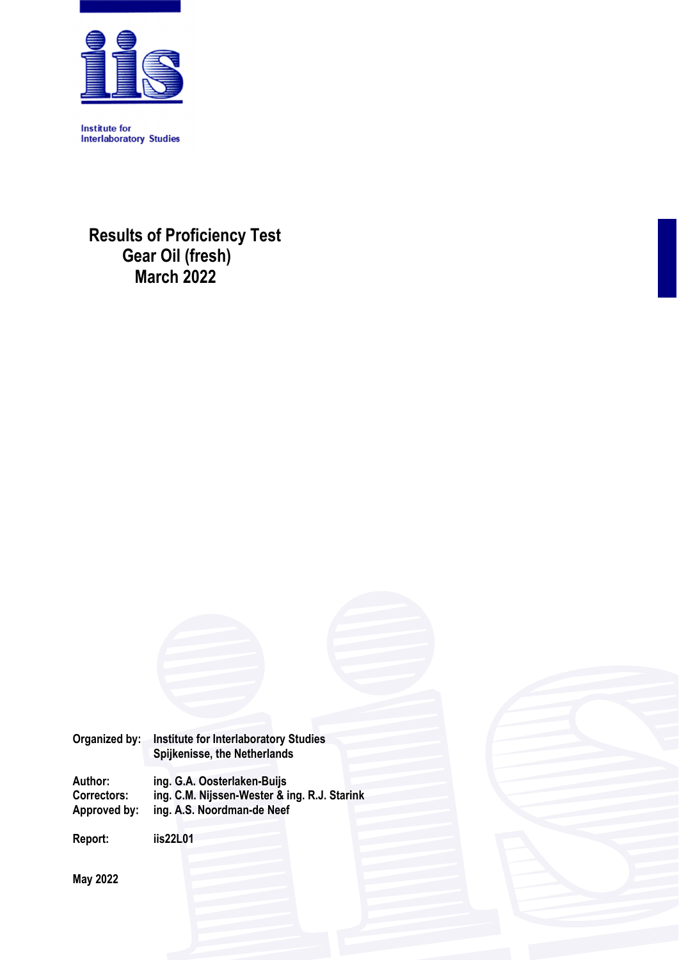

**Institute for Interlaboratory Studies** 

**Results of Proficiency Test Gear Oil (fresh) March 2022** 

| Organized by:                                 | <b>Institute for Interlaboratory Studies</b><br>Spijkenisse, the Netherlands                              |  |  |  |  |  |
|-----------------------------------------------|-----------------------------------------------------------------------------------------------------------|--|--|--|--|--|
| Author:<br><b>Correctors:</b><br>Approved by: | ing. G.A. Oosterlaken-Buijs<br>ing. C.M. Nijssen-Wester & ing. R.J. Starink<br>ing. A.S. Noordman-de Neef |  |  |  |  |  |

**Report: iis22L01** 

**May 2022**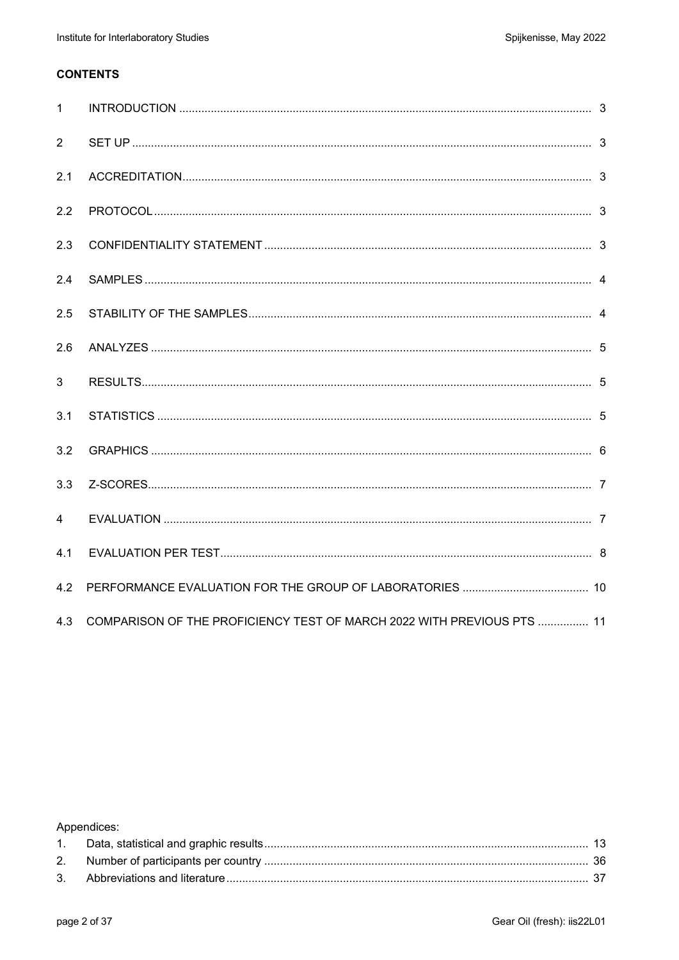### **CONTENTS**

| $\mathbf{1}$   |                                                                        |  |
|----------------|------------------------------------------------------------------------|--|
| 2              |                                                                        |  |
| 2.1            |                                                                        |  |
| 2.2            |                                                                        |  |
| 2.3            |                                                                        |  |
| 2.4            |                                                                        |  |
| 2.5            |                                                                        |  |
| 2.6            |                                                                        |  |
| 3              |                                                                        |  |
| 3.1            |                                                                        |  |
| 3.2            |                                                                        |  |
| 3.3            |                                                                        |  |
| $\overline{4}$ |                                                                        |  |
| 4.1            |                                                                        |  |
| 4.2            |                                                                        |  |
| 4.3            | COMPARISON OF THE PROFICIENCY TEST OF MARCH 2022 WITH PREVIOUS PTS  11 |  |

Appendices: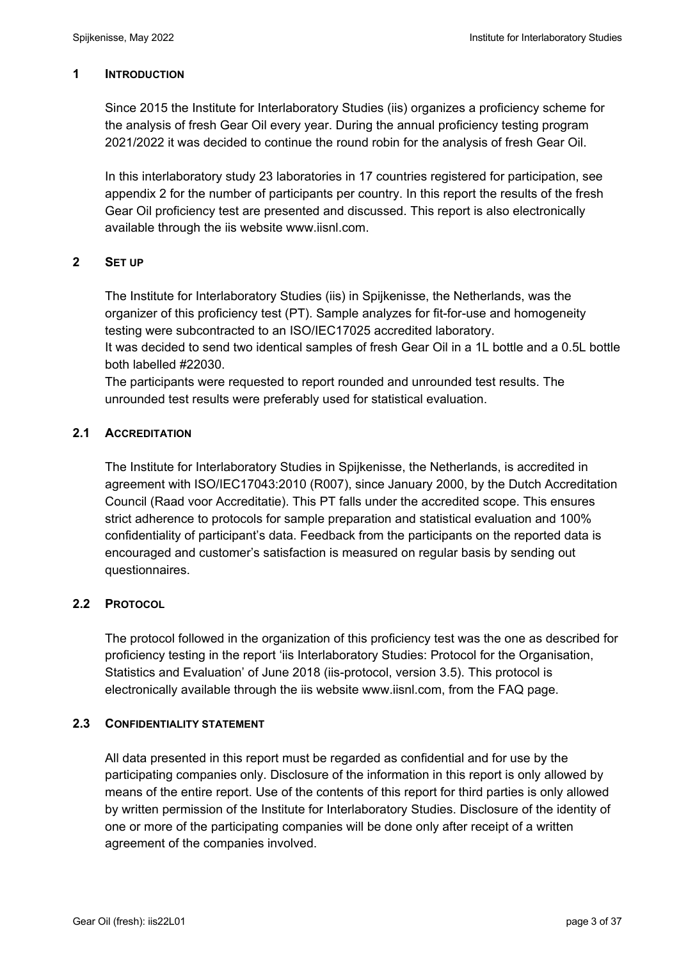### **1 INTRODUCTION**

Since 2015 the Institute for Interlaboratory Studies (iis) organizes a proficiency scheme for the analysis of fresh Gear Oil every year. During the annual proficiency testing program 2021/2022 it was decided to continue the round robin for the analysis of fresh Gear Oil.

In this interlaboratory study 23 laboratories in 17 countries registered for participation, see appendix 2 for the number of participants per country. In this report the results of the fresh Gear Oil proficiency test are presented and discussed. This report is also electronically available through the iis website www.iisnl.com.

### **2 SET UP**

The Institute for Interlaboratory Studies (iis) in Spijkenisse, the Netherlands, was the organizer of this proficiency test (PT). Sample analyzes for fit-for-use and homogeneity testing were subcontracted to an ISO/IEC17025 accredited laboratory.

It was decided to send two identical samples of fresh Gear Oil in a 1L bottle and a 0.5L bottle both labelled #22030.

The participants were requested to report rounded and unrounded test results. The unrounded test results were preferably used for statistical evaluation.

### **2.1 ACCREDITATION**

The Institute for Interlaboratory Studies in Spijkenisse, the Netherlands, is accredited in agreement with ISO/IEC17043:2010 (R007), since January 2000, by the Dutch Accreditation Council (Raad voor Accreditatie). This PT falls under the accredited scope. This ensures strict adherence to protocols for sample preparation and statistical evaluation and 100% confidentiality of participant's data. Feedback from the participants on the reported data is encouraged and customer's satisfaction is measured on regular basis by sending out questionnaires.

### **2.2 PROTOCOL**

The protocol followed in the organization of this proficiency test was the one as described for proficiency testing in the report 'iis Interlaboratory Studies: Protocol for the Organisation, Statistics and Evaluation' of June 2018 (iis-protocol, version 3.5). This protocol is electronically available through the iis website www.iisnl.com, from the FAQ page.

### **2.3 CONFIDENTIALITY STATEMENT**

All data presented in this report must be regarded as confidential and for use by the participating companies only. Disclosure of the information in this report is only allowed by means of the entire report. Use of the contents of this report for third parties is only allowed by written permission of the Institute for Interlaboratory Studies. Disclosure of the identity of one or more of the participating companies will be done only after receipt of a written agreement of the companies involved.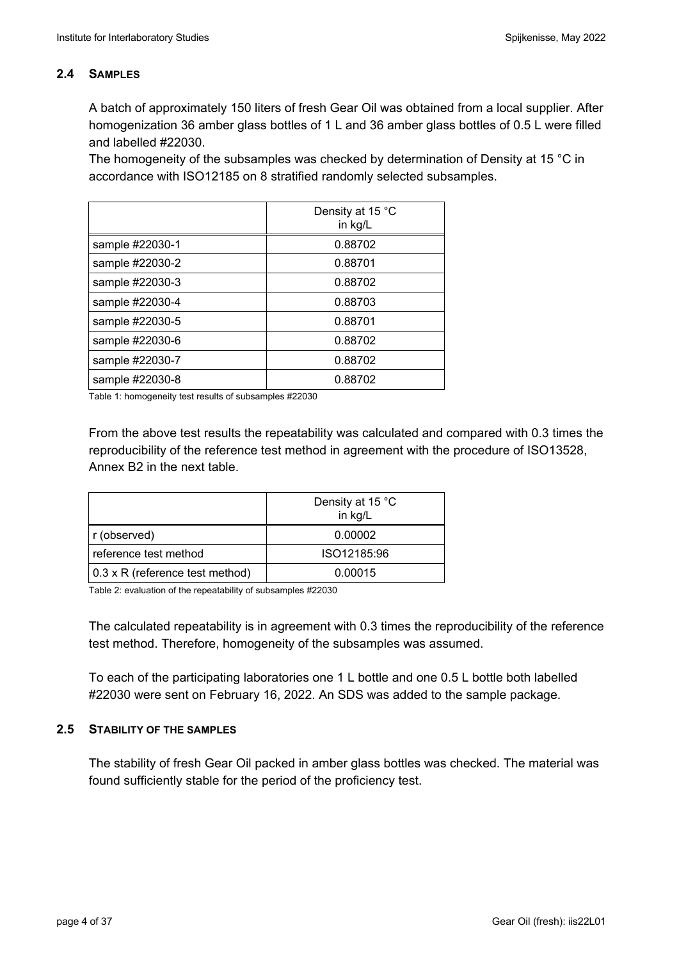### **2.4 SAMPLES**

A batch of approximately 150 liters of fresh Gear Oil was obtained from a local supplier. After homogenization 36 amber glass bottles of 1 L and 36 amber glass bottles of 0.5 L were filled and labelled #22030.

The homogeneity of the subsamples was checked by determination of Density at 15 °C in accordance with ISO12185 on 8 stratified randomly selected subsamples.

|                 | Density at 15 °C<br>in kg/L |
|-----------------|-----------------------------|
| sample #22030-1 | 0.88702                     |
| sample #22030-2 | 0.88701                     |
| sample #22030-3 | 0.88702                     |
| sample #22030-4 | 0.88703                     |
| sample #22030-5 | 0.88701                     |
| sample #22030-6 | 0.88702                     |
| sample #22030-7 | 0.88702                     |
| sample #22030-8 | 0.88702                     |

Table 1: homogeneity test results of subsamples #22030

From the above test results the repeatability was calculated and compared with 0.3 times the reproducibility of the reference test method in agreement with the procedure of ISO13528, Annex B2 in the next table.

|                                 | Density at 15 °C<br>in kg/L |
|---------------------------------|-----------------------------|
| r (observed)                    | 0.00002                     |
| reference test method           | ISO12185:96                 |
| 0.3 x R (reference test method) | 0.00015                     |

Table 2: evaluation of the repeatability of subsamples #22030

The calculated repeatability is in agreement with 0.3 times the reproducibility of the reference test method. Therefore, homogeneity of the subsamples was assumed.

To each of the participating laboratories one 1 L bottle and one 0.5 L bottle both labelled #22030 were sent on February 16, 2022. An SDS was added to the sample package.

### **2.5 STABILITY OF THE SAMPLES**

The stability of fresh Gear Oil packed in amber glass bottles was checked. The material was found sufficiently stable for the period of the proficiency test.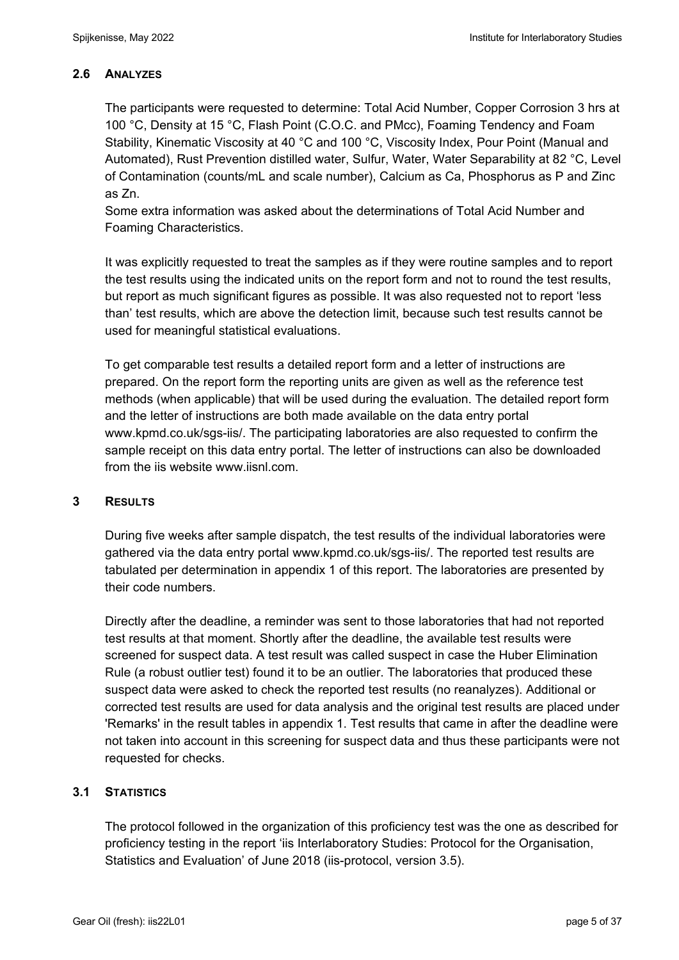## **2.6 ANALYZES**

The participants were requested to determine: Total Acid Number, Copper Corrosion 3 hrs at 100 °C, Density at 15 °C, Flash Point (C.O.C. and PMcc), Foaming Tendency and Foam Stability, Kinematic Viscosity at 40 °C and 100 °C, Viscosity Index, Pour Point (Manual and Automated), Rust Prevention distilled water, Sulfur, Water, Water Separability at 82 °C, Level of Contamination (counts/mL and scale number), Calcium as Ca, Phosphorus as P and Zinc as Zn.

Some extra information was asked about the determinations of Total Acid Number and Foaming Characteristics.

It was explicitly requested to treat the samples as if they were routine samples and to report the test results using the indicated units on the report form and not to round the test results, but report as much significant figures as possible. It was also requested not to report 'less than' test results, which are above the detection limit, because such test results cannot be used for meaningful statistical evaluations.

To get comparable test results a detailed report form and a letter of instructions are prepared. On the report form the reporting units are given as well as the reference test methods (when applicable) that will be used during the evaluation. The detailed report form and the letter of instructions are both made available on the data entry portal www.kpmd.co.uk/sgs-iis/. The participating laboratories are also requested to confirm the sample receipt on this data entry portal. The letter of instructions can also be downloaded from the iis website www.iisnl.com.

### **3 RESULTS**

During five weeks after sample dispatch, the test results of the individual laboratories were gathered via the data entry portal www.kpmd.co.uk/sgs-iis/. The reported test results are tabulated per determination in appendix 1 of this report. The laboratories are presented by their code numbers.

Directly after the deadline, a reminder was sent to those laboratories that had not reported test results at that moment. Shortly after the deadline, the available test results were screened for suspect data. A test result was called suspect in case the Huber Elimination Rule (a robust outlier test) found it to be an outlier. The laboratories that produced these suspect data were asked to check the reported test results (no reanalyzes). Additional or corrected test results are used for data analysis and the original test results are placed under 'Remarks' in the result tables in appendix 1. Test results that came in after the deadline were not taken into account in this screening for suspect data and thus these participants were not requested for checks.

### **3.1 STATISTICS**

The protocol followed in the organization of this proficiency test was the one as described for proficiency testing in the report 'iis Interlaboratory Studies: Protocol for the Organisation, Statistics and Evaluation' of June 2018 (iis-protocol, version 3.5).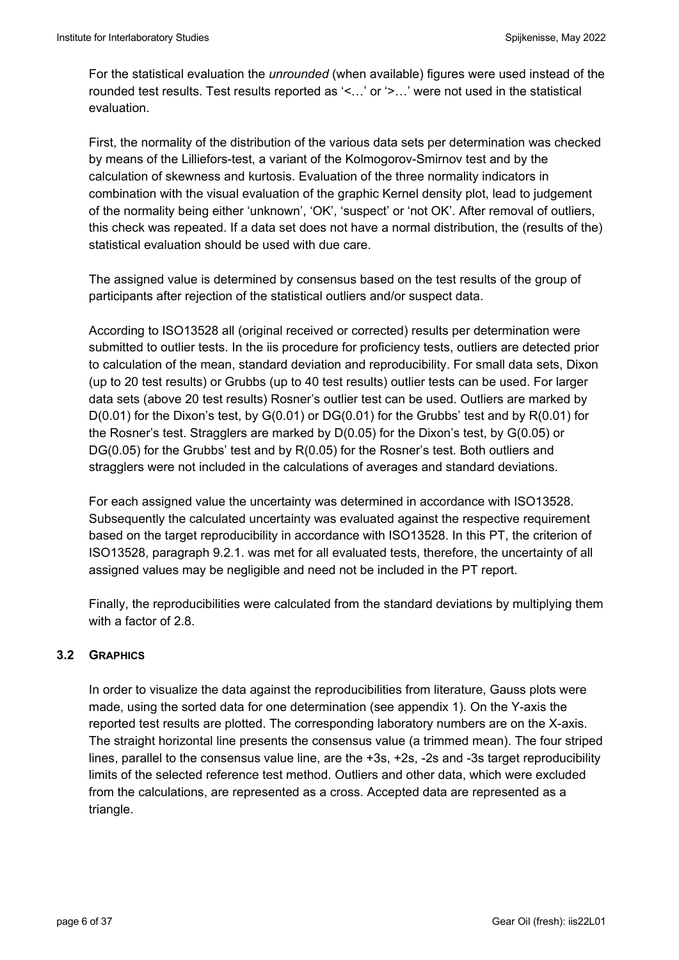For the statistical evaluation the *unrounded* (when available) figures were used instead of the rounded test results. Test results reported as '<…' or '>…' were not used in the statistical evaluation.

First, the normality of the distribution of the various data sets per determination was checked by means of the Lilliefors-test, a variant of the Kolmogorov-Smirnov test and by the calculation of skewness and kurtosis. Evaluation of the three normality indicators in combination with the visual evaluation of the graphic Kernel density plot, lead to judgement of the normality being either 'unknown', 'OK', 'suspect' or 'not OK'. After removal of outliers, this check was repeated. If a data set does not have a normal distribution, the (results of the) statistical evaluation should be used with due care.

The assigned value is determined by consensus based on the test results of the group of participants after rejection of the statistical outliers and/or suspect data.

According to ISO13528 all (original received or corrected) results per determination were submitted to outlier tests. In the iis procedure for proficiency tests, outliers are detected prior to calculation of the mean, standard deviation and reproducibility. For small data sets, Dixon (up to 20 test results) or Grubbs (up to 40 test results) outlier tests can be used. For larger data sets (above 20 test results) Rosner's outlier test can be used. Outliers are marked by D(0.01) for the Dixon's test, by G(0.01) or DG(0.01) for the Grubbs' test and by R(0.01) for the Rosner's test. Stragglers are marked by D(0.05) for the Dixon's test, by G(0.05) or DG(0.05) for the Grubbs' test and by R(0.05) for the Rosner's test. Both outliers and stragglers were not included in the calculations of averages and standard deviations.

For each assigned value the uncertainty was determined in accordance with ISO13528. Subsequently the calculated uncertainty was evaluated against the respective requirement based on the target reproducibility in accordance with ISO13528. In this PT, the criterion of ISO13528, paragraph 9.2.1. was met for all evaluated tests, therefore, the uncertainty of all assigned values may be negligible and need not be included in the PT report.

Finally, the reproducibilities were calculated from the standard deviations by multiplying them with a factor of 2.8

## **3.2 GRAPHICS**

In order to visualize the data against the reproducibilities from literature, Gauss plots were made, using the sorted data for one determination (see appendix 1). On the Y-axis the reported test results are plotted. The corresponding laboratory numbers are on the X-axis. The straight horizontal line presents the consensus value (a trimmed mean). The four striped lines, parallel to the consensus value line, are the +3s, +2s, -2s and -3s target reproducibility limits of the selected reference test method. Outliers and other data, which were excluded from the calculations, are represented as a cross. Accepted data are represented as a triangle.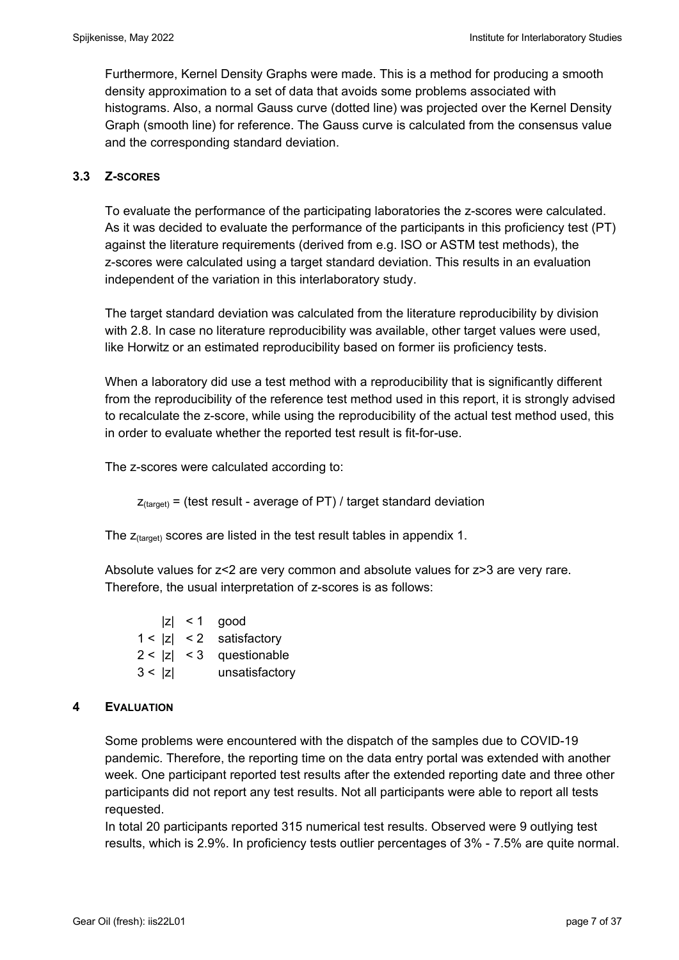Furthermore, Kernel Density Graphs were made. This is a method for producing a smooth density approximation to a set of data that avoids some problems associated with histograms. Also, a normal Gauss curve (dotted line) was projected over the Kernel Density Graph (smooth line) for reference. The Gauss curve is calculated from the consensus value and the corresponding standard deviation.

### **3.3 Z-SCORES**

To evaluate the performance of the participating laboratories the z-scores were calculated. As it was decided to evaluate the performance of the participants in this proficiency test (PT) against the literature requirements (derived from e.g. ISO or ASTM test methods), the z-scores were calculated using a target standard deviation. This results in an evaluation independent of the variation in this interlaboratory study.

The target standard deviation was calculated from the literature reproducibility by division with 2.8. In case no literature reproducibility was available, other target values were used, like Horwitz or an estimated reproducibility based on former iis proficiency tests.

When a laboratory did use a test method with a reproducibility that is significantly different from the reproducibility of the reference test method used in this report, it is strongly advised to recalculate the z-score, while using the reproducibility of the actual test method used, this in order to evaluate whether the reported test result is fit-for-use.

The z-scores were calculated according to:

 $Z_{\text{target}}$  = (test result - average of PT) / target standard deviation

The  $z_{\text{(target)}}$  scores are listed in the test result tables in appendix 1.

Absolute values for z<2 are very common and absolute values for z>3 are very rare. Therefore, the usual interpretation of z-scores is as follows:

 $|z|$  < 1 good  $1 < |z| < 2$  satisfactory  $2 < |z| < 3$  questionable 3 < |z| unsatisfactory

### **4 EVALUATION**

Some problems were encountered with the dispatch of the samples due to COVID-19 pandemic. Therefore, the reporting time on the data entry portal was extended with another week. One participant reported test results after the extended reporting date and three other participants did not report any test results. Not all participants were able to report all tests requested.

In total 20 participants reported 315 numerical test results. Observed were 9 outlying test results, which is 2.9%. In proficiency tests outlier percentages of 3% - 7.5% are quite normal.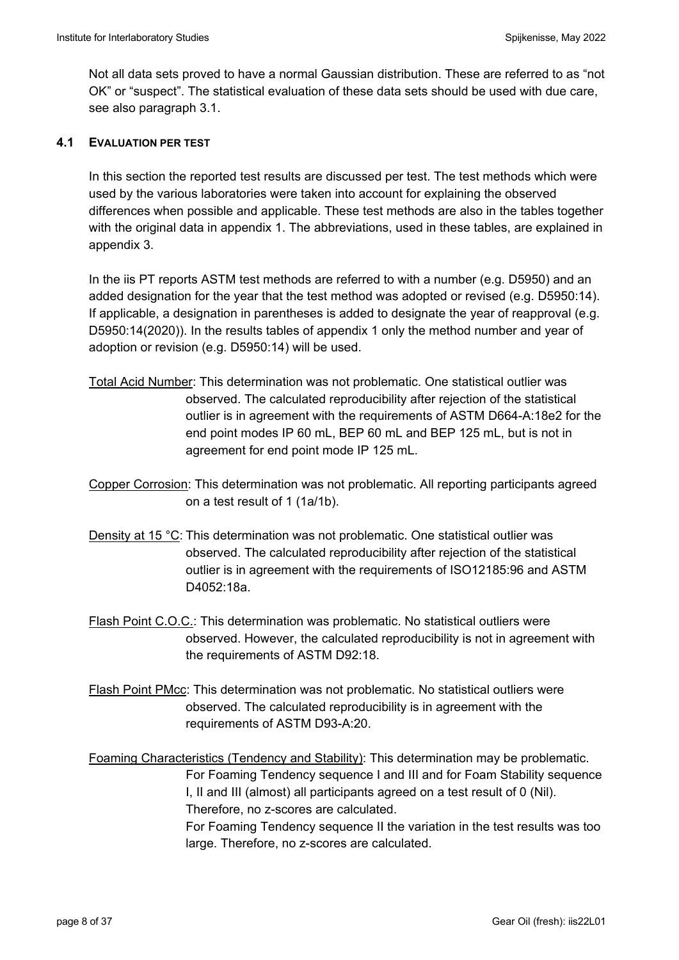Not all data sets proved to have a normal Gaussian distribution. These are referred to as "not OK" or "suspect". The statistical evaluation of these data sets should be used with due care, see also paragraph 3.1.

### **4.1 EVALUATION PER TEST**

In this section the reported test results are discussed per test. The test methods which were used by the various laboratories were taken into account for explaining the observed differences when possible and applicable. These test methods are also in the tables together with the original data in appendix 1. The abbreviations, used in these tables, are explained in appendix 3.

In the iis PT reports ASTM test methods are referred to with a number (e.g. D5950) and an added designation for the year that the test method was adopted or revised (e.g. D5950:14). If applicable, a designation in parentheses is added to designate the year of reapproval (e.g. D5950:14(2020)). In the results tables of appendix 1 only the method number and year of adoption or revision (e.g. D5950:14) will be used.

- Total Acid Number: This determination was not problematic. One statistical outlier was observed. The calculated reproducibility after rejection of the statistical outlier is in agreement with the requirements of ASTM D664-A:18e2 for the end point modes IP 60 mL, BEP 60 mL and BEP 125 mL, but is not in agreement for end point mode IP 125 mL.
- Copper Corrosion: This determination was not problematic. All reporting participants agreed on a test result of 1 (1a/1b).
- Density at 15 °C: This determination was not problematic. One statistical outlier was observed. The calculated reproducibility after rejection of the statistical outlier is in agreement with the requirements of ISO12185:96 and ASTM D4052:18a.
- Flash Point C.O.C.: This determination was problematic. No statistical outliers were observed. However, the calculated reproducibility is not in agreement with the requirements of ASTM D92:18.
- Flash Point PMcc: This determination was not problematic. No statistical outliers were observed. The calculated reproducibility is in agreement with the requirements of ASTM D93-A:20.

Foaming Characteristics (Tendency and Stability): This determination may be problematic. For Foaming Tendency sequence I and III and for Foam Stability sequence I, II and III (almost) all participants agreed on a test result of 0 (Nil). Therefore, no z-scores are calculated. For Foaming Tendency sequence II the variation in the test results was too large. Therefore, no z-scores are calculated.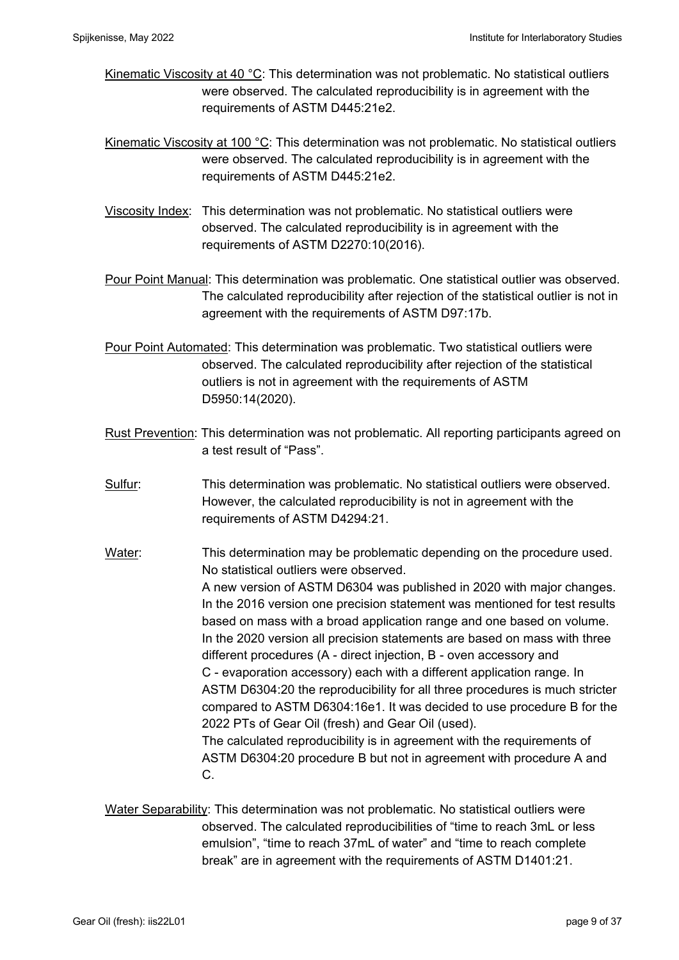- Kinematic Viscosity at 40 °C: This determination was not problematic. No statistical outliers were observed. The calculated reproducibility is in agreement with the requirements of ASTM D445:21e2.
- Kinematic Viscosity at 100 °C: This determination was not problematic. No statistical outliers were observed. The calculated reproducibility is in agreement with the requirements of ASTM D445:21e2.
- Viscosity Index: This determination was not problematic. No statistical outliers were observed. The calculated reproducibility is in agreement with the requirements of ASTM D2270:10(2016).
- Pour Point Manual: This determination was problematic. One statistical outlier was observed. The calculated reproducibility after rejection of the statistical outlier is not in agreement with the requirements of ASTM D97:17b.
- Pour Point Automated: This determination was problematic. Two statistical outliers were observed. The calculated reproducibility after rejection of the statistical outliers is not in agreement with the requirements of ASTM D5950:14(2020).
- Rust Prevention: This determination was not problematic. All reporting participants agreed on a test result of "Pass".
- Sulfur: This determination was problematic. No statistical outliers were observed. However, the calculated reproducibility is not in agreement with the requirements of ASTM D4294:21.
- Water: This determination may be problematic depending on the procedure used. No statistical outliers were observed. A new version of ASTM D6304 was published in 2020 with major changes. In the 2016 version one precision statement was mentioned for test results based on mass with a broad application range and one based on volume. In the 2020 version all precision statements are based on mass with three different procedures (A - direct injection, B - oven accessory and C - evaporation accessory) each with a different application range. In ASTM D6304:20 the reproducibility for all three procedures is much stricter compared to ASTM D6304:16e1. It was decided to use procedure B for the 2022 PTs of Gear Oil (fresh) and Gear Oil (used). The calculated reproducibility is in agreement with the requirements of ASTM D6304:20 procedure B but not in agreement with procedure A and C.
- Water Separability: This determination was not problematic. No statistical outliers were observed. The calculated reproducibilities of "time to reach 3mL or less emulsion", "time to reach 37mL of water" and "time to reach complete break" are in agreement with the requirements of ASTM D1401:21.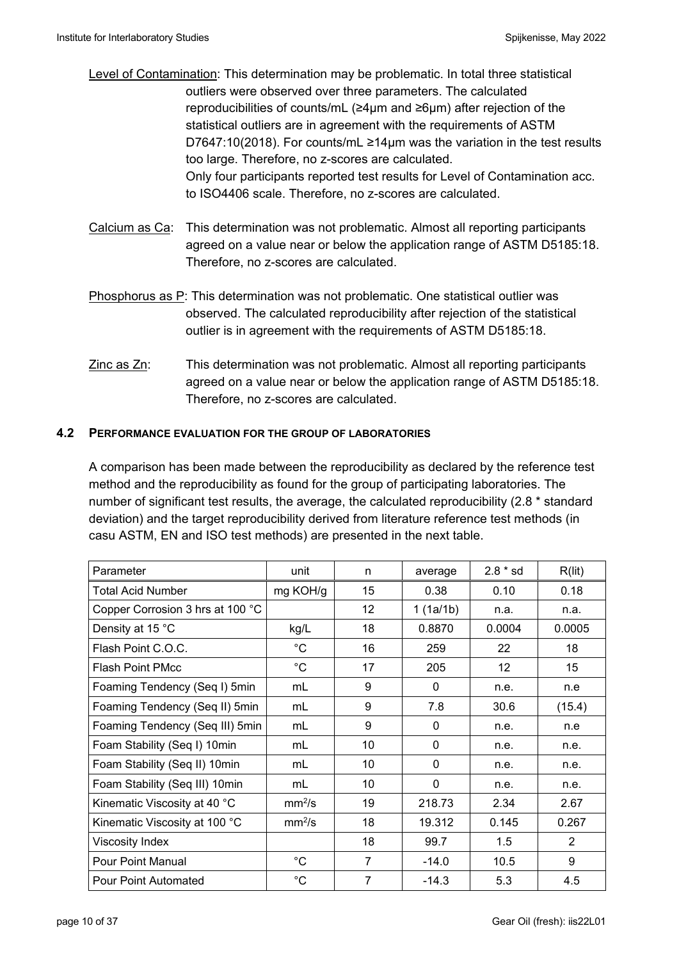- Level of Contamination: This determination may be problematic. In total three statistical outliers were observed over three parameters. The calculated reproducibilities of counts/mL (≥4µm and ≥6µm) after rejection of the statistical outliers are in agreement with the requirements of ASTM D7647:10(2018). For counts/mL ≥14µm was the variation in the test results too large. Therefore, no z-scores are calculated. Only four participants reported test results for Level of Contamination acc. to ISO4406 scale. Therefore, no z-scores are calculated.
- Calcium as Ca: This determination was not problematic. Almost all reporting participants agreed on a value near or below the application range of ASTM D5185:18. Therefore, no z-scores are calculated.
- Phosphorus as P: This determination was not problematic. One statistical outlier was observed. The calculated reproducibility after rejection of the statistical outlier is in agreement with the requirements of ASTM D5185:18.
- $Zinc$  as  $Zn$ : This determination was not problematic. Almost all reporting participants agreed on a value near or below the application range of ASTM D5185:18. Therefore, no z-scores are calculated.

### **4.2 PERFORMANCE EVALUATION FOR THE GROUP OF LABORATORIES**

A comparison has been made between the reproducibility as declared by the reference test method and the reproducibility as found for the group of participating laboratories. The number of significant test results, the average, the calculated reproducibility (2.8 \* standard deviation) and the target reproducibility derived from literature reference test methods (in casu ASTM, EN and ISO test methods) are presented in the next table.

| Parameter                        | unit               | n              | average      | $2.8 * sd$ | R(lit)         |
|----------------------------------|--------------------|----------------|--------------|------------|----------------|
| <b>Total Acid Number</b>         | mg KOH/g           | 15             | 0.38         | 0.10       | 0.18           |
| Copper Corrosion 3 hrs at 100 °C |                    | 12             | 1(1a/1b)     | n.a.       | n.a.           |
| Density at 15 °C                 | kg/L               | 18             | 0.8870       | 0.0004     | 0.0005         |
| Flash Point C.O.C.               | $^{\circ}C$        | 16             | 259          | 22         | 18             |
| <b>Flash Point PMcc</b>          | $^{\circ}C$        | 17             | 205          | 12         | 15             |
| Foaming Tendency (Seq I) 5min    | mL                 | 9              | 0            | n.e.       | n.e            |
| Foaming Tendency (Seq II) 5min   | mL                 | 9              | 7.8          | 30.6       | (15.4)         |
| Foaming Tendency (Seq III) 5min  | mL                 | 9              | 0            | n.e.       | n.e            |
| Foam Stability (Seq I) 10min     | mL                 | 10             | $\mathbf{0}$ | n.e.       | n.e.           |
| Foam Stability (Seq II) 10min    | mL                 | 10             | $\mathbf{0}$ | n.e.       | n.e.           |
| Foam Stability (Seq III) 10min   | mL                 | 10             | 0            | n.e.       | n.e.           |
| Kinematic Viscosity at 40 °C     | mm <sup>2</sup> /s | 19             | 218.73       | 2.34       | 2.67           |
| Kinematic Viscosity at 100 °C    | mm <sup>2</sup> /s | 18             | 19.312       | 0.145      | 0.267          |
| Viscosity Index                  |                    | 18             | 99.7         | 1.5        | $\overline{2}$ |
| Pour Point Manual                | $^{\circ}C$        | $\overline{7}$ | $-14.0$      | 10.5       | 9              |
| <b>Pour Point Automated</b>      | $^{\circ}C$        | $\overline{7}$ | $-14.3$      | 5.3        | 4.5            |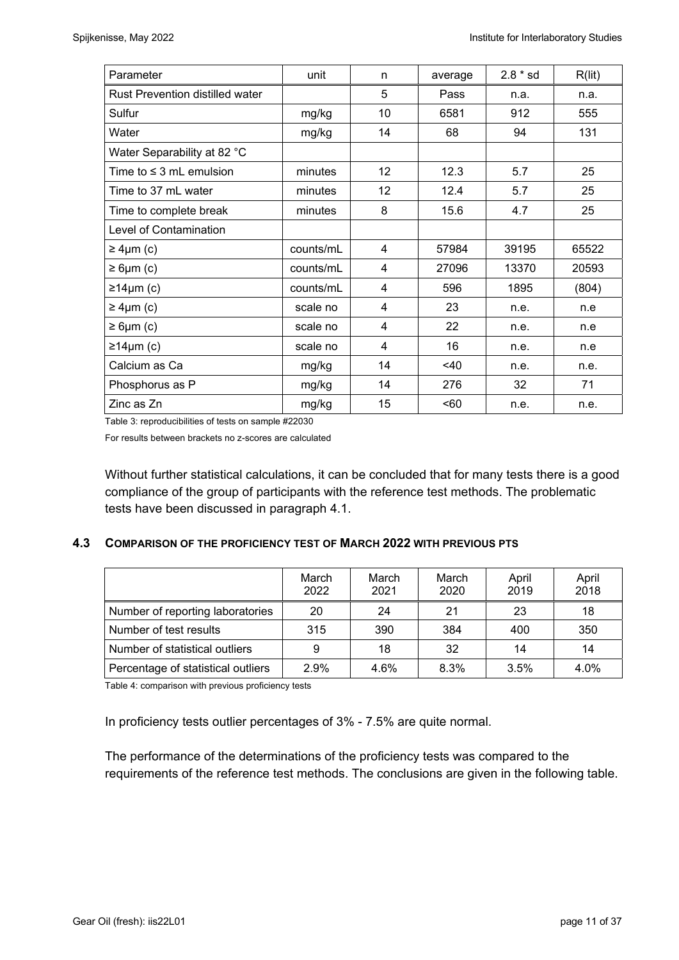| Parameter                              | unit      | n  | average | $2.8 * sd$ | R(lit) |
|----------------------------------------|-----------|----|---------|------------|--------|
| <b>Rust Prevention distilled water</b> |           | 5  | Pass    | n.a.       | n.a.   |
| Sulfur                                 | mg/kg     | 10 | 6581    | 912        | 555    |
| Water                                  | mg/kg     | 14 | 68      | 94         | 131    |
| Water Separability at 82 °C            |           |    |         |            |        |
| Time to $\leq 3$ mL emulsion           | minutes   | 12 | 12.3    | 5.7        | 25     |
| Time to 37 mL water                    | minutes   | 12 | 12.4    | 5.7        | 25     |
| Time to complete break                 | minutes   | 8  | 15.6    | 4.7        | 25     |
| Level of Contamination                 |           |    |         |            |        |
| $\geq 4 \mu m$ (c)                     | counts/mL | 4  | 57984   | 39195      | 65522  |
| $\geq 6 \mu m$ (c)                     | counts/mL | 4  | 27096   | 13370      | 20593  |
| ≥14µm(c)                               | counts/mL | 4  | 596     | 1895       | (804)  |
| $\geq 4 \mu m$ (c)                     | scale no  | 4  | 23      | n.e.       | n.e    |
| $\geq 6 \mu m$ (c)                     | scale no  | 4  | 22      | n.e.       | n.e    |
| ≥14µm (c)                              | scale no  | 4  | 16      | n.e.       | n.e    |
| Calcium as Ca                          | mg/kg     | 14 | $<$ 40  | n.e.       | n.e.   |
| Phosphorus as P                        | mg/kg     | 14 | 276     | 32         | 71     |
| Zinc as Zn                             | mg/kg     | 15 | $60$    | n.e.       | n.e.   |

Table 3: reproducibilities of tests on sample #22030

For results between brackets no z-scores are calculated

Without further statistical calculations, it can be concluded that for many tests there is a good compliance of the group of participants with the reference test methods. The problematic tests have been discussed in paragraph 4.1.

### **4.3 COMPARISON OF THE PROFICIENCY TEST OF MARCH 2022 WITH PREVIOUS PTS**

|                                    | March<br>2022 | March<br>2021 | March<br>2020 | April<br>2019 | April<br>2018 |
|------------------------------------|---------------|---------------|---------------|---------------|---------------|
| Number of reporting laboratories   | 20            | 24            | 21            | 23            | 18            |
| Number of test results             | 315           | 390           | 384           | 400           | 350           |
| Number of statistical outliers     | 9             | 18            | 32            | 14            | 14            |
| Percentage of statistical outliers | 2.9%          | 4.6%          | 8.3%          | 3.5%          | 4.0%          |

Table 4: comparison with previous proficiency tests

In proficiency tests outlier percentages of 3% - 7.5% are quite normal.

The performance of the determinations of the proficiency tests was compared to the requirements of the reference test methods. The conclusions are given in the following table.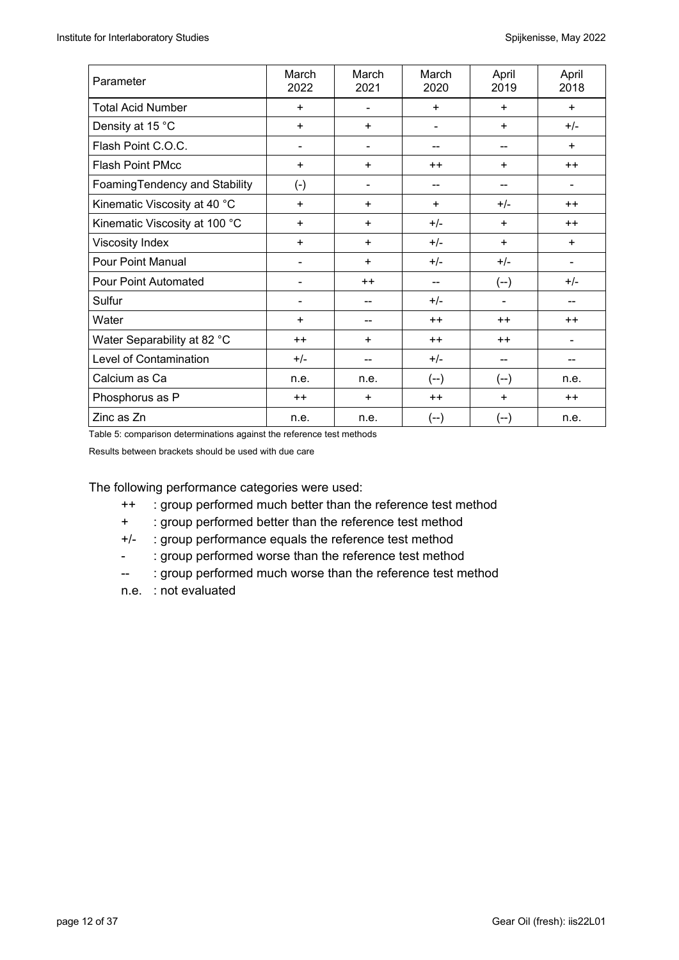| Parameter                     | March<br>2022      | March<br>2021            | March<br>2020                | April<br>2019 | April<br>2018  |
|-------------------------------|--------------------|--------------------------|------------------------------|---------------|----------------|
| <b>Total Acid Number</b>      | $+$                | $\blacksquare$           | $\ddot{}$                    | $\ddot{}$     | $\ddot{}$      |
| Density at 15 °C              | $\ddot{}$          | ÷                        | $\qquad \qquad \blacksquare$ | $\ddot{}$     | $+/-$          |
| Flash Point C.O.C.            | $\blacksquare$     | $\blacksquare$           | --                           | --            | $\ddot{}$      |
| Flash Point PMcc              | $\ddot{}$          | ÷                        | $++$                         | $\ddot{}$     | $++$           |
| FoamingTendency and Stability | $(\textnormal{-})$ | $\blacksquare$           | --                           |               |                |
| Kinematic Viscosity at 40 °C  | $\ddot{}$          | ÷                        | $\ddot{}$                    | $+/-$         | $++$           |
| Kinematic Viscosity at 100 °C | $\ddot{}$          | $\ddot{}$                | $+/-$                        | $\ddot{}$     | $++$           |
| Viscosity Index               | $\ddot{}$          | ÷                        | $+/-$                        | $\ddot{}$     | $\ddot{}$      |
| <b>Pour Point Manual</b>      | -                  | $\ddot{}$                | $+/-$                        | $+/-$         | $\blacksquare$ |
| <b>Pour Point Automated</b>   | $\overline{a}$     | $++$                     | --                           | $(-)$         | $+/-$          |
| Sulfur                        | $\overline{a}$     | --                       | $+/-$                        | -             |                |
| Water                         | $\ddot{}$          | $\overline{\phantom{a}}$ | $++$                         | $++$          | $++$           |
| Water Separability at 82 °C   | $++$               | ÷                        | $++$                         | $++$          |                |
| Level of Contamination        | $+/-$              | --                       | $+/-$                        | --            |                |
| Calcium as Ca                 | n.e.               | n.e.                     | $(-)$                        | $(-)$         | n.e.           |
| Phosphorus as P               | $++$               | $\ddot{}$                | $++$                         | ÷             | $++$           |
| Zinc as Zn                    | n.e.               | n.e.                     | $(-)$                        | $(-)$         | n.e.           |

Table 5: comparison determinations against the reference test methods

Results between brackets should be used with due care

The following performance categories were used:

- ++ : group performed much better than the reference test method
- + : group performed better than the reference test method
- +/- : group performance equals the reference test method
- : group performed worse than the reference test method
- -- : group performed much worse than the reference test method
- n.e. : not evaluated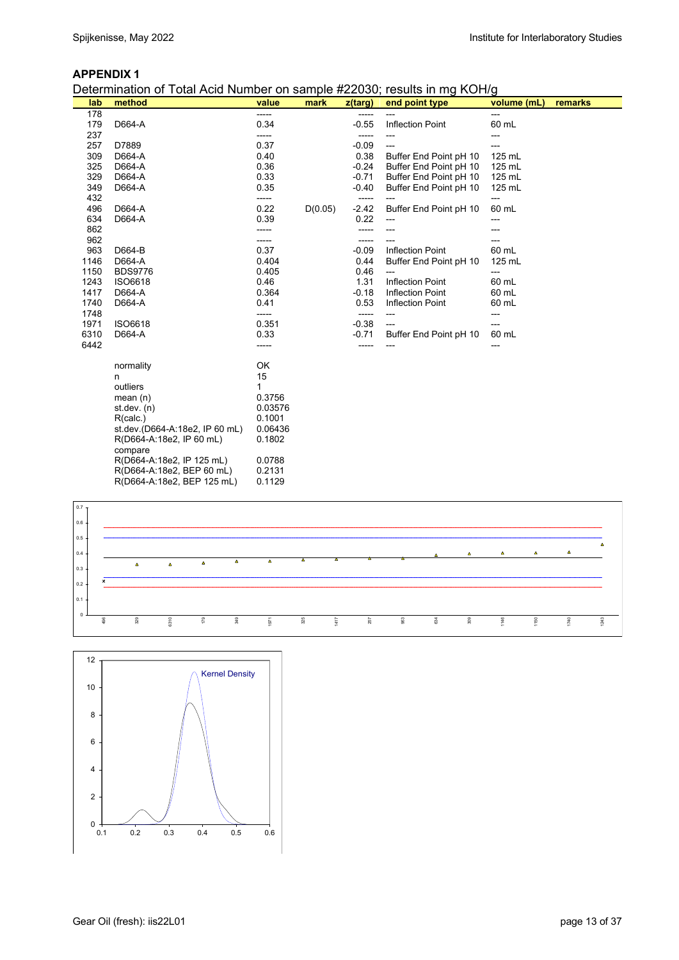#### **APPENDIX 1**

Determination of Total Acid Number on sample #22030; results in mg KOH/g

| lab  | atommation or rotal hold nambor on bamplo #22000, robalto in my NOTI/y<br>method | value   | mark    | $z$ (targ) | end point type          | volume (mL) | remarks |
|------|----------------------------------------------------------------------------------|---------|---------|------------|-------------------------|-------------|---------|
| 178  |                                                                                  | -----   |         | -----      |                         | ---         |         |
| 179  | D664-A                                                                           | 0.34    |         | $-0.55$    | Inflection Point        | 60 mL       |         |
| 237  |                                                                                  | -----   |         | -----      |                         | ---         |         |
| 257  | D7889                                                                            | 0.37    |         | $-0.09$    | ---                     | ---         |         |
| 309  | D664-A                                                                           | 0.40    |         | 0.38       | Buffer End Point pH 10  | 125 mL      |         |
| 325  | D664-A                                                                           | 0.36    |         | $-0.24$    | Buffer End Point pH 10  | 125 mL      |         |
| 329  | D664-A                                                                           | 0.33    |         | $-0.71$    | Buffer End Point pH 10  | 125 mL      |         |
| 349  | D664-A                                                                           | 0.35    |         | $-0.40$    | Buffer End Point pH 10  | 125 mL      |         |
| 432  |                                                                                  | -----   |         | -----      |                         | ---         |         |
| 496  | D664-A                                                                           | 0.22    | D(0.05) | $-2.42$    | Buffer End Point pH 10  | 60 mL       |         |
| 634  | D664-A                                                                           | 0.39    |         | 0.22       | ---                     | ---         |         |
| 862  |                                                                                  |         |         | -----      |                         |             |         |
| 962  |                                                                                  | -----   |         | -----      |                         | ---         |         |
| 963  | D664-B                                                                           | 0.37    |         | $-0.09$    | <b>Inflection Point</b> | 60 mL       |         |
| 1146 | D664-A                                                                           | 0.404   |         | 0.44       | Buffer End Point pH 10  | 125 mL      |         |
| 1150 | <b>BDS9776</b>                                                                   | 0.405   |         | 0.46       | ---                     | ---         |         |
| 1243 | ISO6618                                                                          | 0.46    |         | 1.31       | <b>Inflection Point</b> | 60 mL       |         |
| 1417 | D664-A                                                                           | 0.364   |         | $-0.18$    | <b>Inflection Point</b> | 60 mL       |         |
| 1740 | D664-A                                                                           | 0.41    |         | 0.53       | <b>Inflection Point</b> | 60 mL       |         |
| 1748 |                                                                                  | -----   |         | -----      | ---                     | ---         |         |
| 1971 | ISO6618                                                                          | 0.351   |         | $-0.38$    | ---                     | ---         |         |
| 6310 | D664-A                                                                           | 0.33    |         | $-0.71$    | Buffer End Point pH 10  | 60 mL       |         |
| 6442 |                                                                                  | -----   |         | -----      |                         | ---         |         |
|      | normality                                                                        | OK      |         |            |                         |             |         |
|      | n                                                                                | 15      |         |            |                         |             |         |
|      | outliers                                                                         | 1       |         |            |                         |             |         |
|      | mean $(n)$                                                                       | 0.3756  |         |            |                         |             |         |
|      | st.dev. (n)                                                                      | 0.03576 |         |            |                         |             |         |
|      | R(calc.)                                                                         | 0.1001  |         |            |                         |             |         |
|      | st.dev.(D664-A:18e2, IP 60 mL)                                                   | 0.06436 |         |            |                         |             |         |
|      | R(D664-A:18e2, IP 60 mL)                                                         | 0.1802  |         |            |                         |             |         |
|      | compare                                                                          |         |         |            |                         |             |         |
|      | R(D664-A:18e2, IP 125 mL)                                                        | 0.0788  |         |            |                         |             |         |
|      | R(D664-A:18e2, BEP 60 mL)                                                        | 0.2131  |         |            |                         |             |         |
|      | R(D664-A:18e2, BEP 125 mL)                                                       | 0.1129  |         |            |                         |             |         |



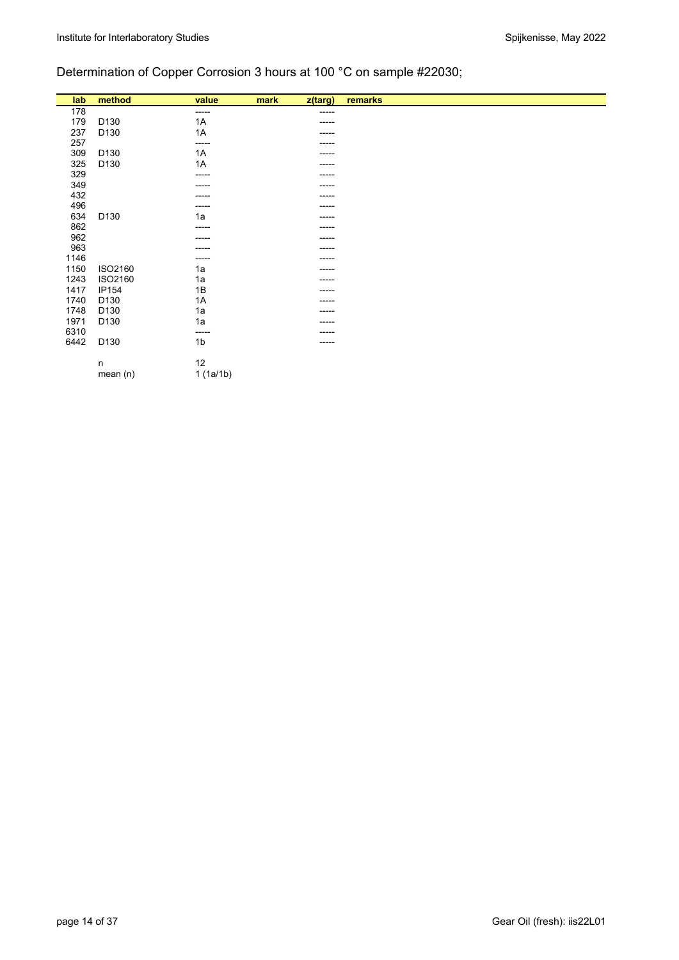# Determination of Copper Corrosion 3 hours at 100 °C on sample #22030;

| lab  | method           | value          | mark | z(targ) | remarks |  |
|------|------------------|----------------|------|---------|---------|--|
| 178  |                  | -----          |      | ------  |         |  |
| 179  | D <sub>130</sub> | 1A             |      |         |         |  |
| 237  | D <sub>130</sub> | 1A             |      | -----   |         |  |
| 257  |                  | -----          |      | -----   |         |  |
| 309  | D130             | 1A             |      | -----   |         |  |
| 325  | D <sub>130</sub> | 1A             |      | ----    |         |  |
| 329  |                  | -----          |      | -----   |         |  |
| 349  |                  |                |      |         |         |  |
| 432  |                  |                |      | -----   |         |  |
| 496  |                  | -----          |      | -----   |         |  |
| 634  | D130             | 1a             |      | -----   |         |  |
| 862  |                  | -----          |      | -----   |         |  |
| 962  |                  |                |      | -----   |         |  |
| 963  |                  |                |      | ----    |         |  |
| 1146 |                  | -----          |      | -----   |         |  |
| 1150 | ISO2160          | 1a             |      | -----   |         |  |
| 1243 | ISO2160          | 1a             |      | -----   |         |  |
| 1417 | IP154            | 1B             |      | -----   |         |  |
| 1740 | D <sub>130</sub> | 1A             |      | ---     |         |  |
| 1748 | D <sub>130</sub> | 1a             |      |         |         |  |
| 1971 | D <sub>130</sub> | 1a             |      | -----   |         |  |
| 6310 |                  | -----          |      | -----   |         |  |
| 6442 | D <sub>130</sub> | 1 <sub>b</sub> |      | -----   |         |  |
|      | n                | 12             |      |         |         |  |
|      | mean $(n)$       | 1(1a/1b)       |      |         |         |  |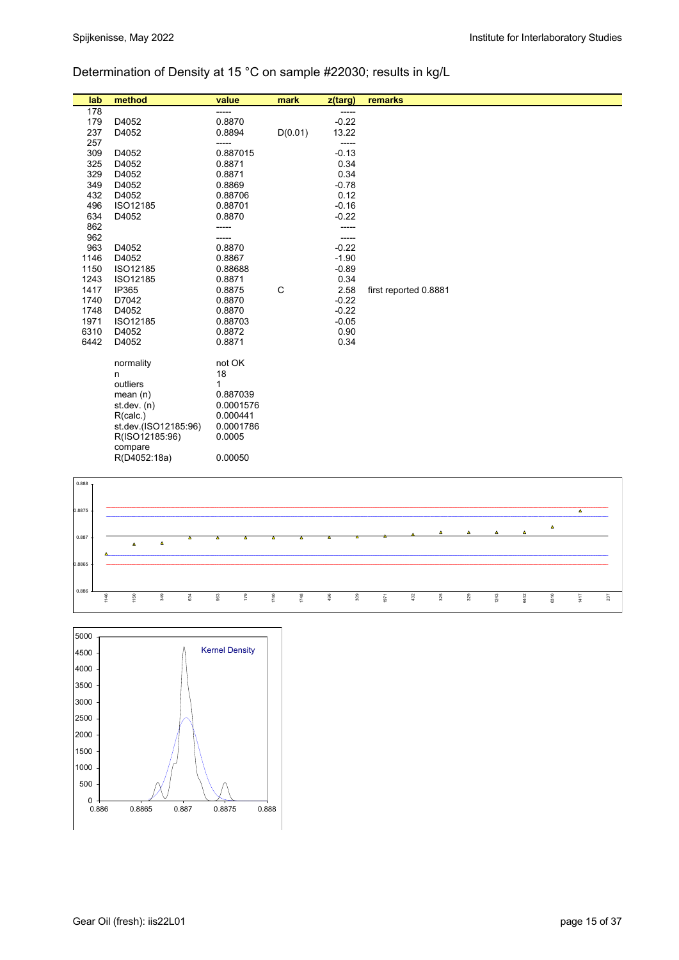# Determination of Density at 15 °C on sample #22030; results in kg/L

| lab  | method               | value     | mark         | z(targ) | remarks               |
|------|----------------------|-----------|--------------|---------|-----------------------|
| 178  |                      | -----     |              | -----   |                       |
| 179  | D4052                | 0.8870    |              | $-0.22$ |                       |
| 237  | D4052                | 0.8894    | D(0.01)      | 13.22   |                       |
| 257  |                      | -----     |              | -----   |                       |
| 309  | D4052                | 0.887015  |              | $-0.13$ |                       |
| 325  | D4052                | 0.8871    |              | 0.34    |                       |
| 329  | D4052                | 0.8871    |              | 0.34    |                       |
| 349  | D4052                | 0.8869    |              | $-0.78$ |                       |
| 432  | D4052                | 0.88706   |              | 0.12    |                       |
| 496  | ISO12185             | 0.88701   |              | $-0.16$ |                       |
| 634  | D4052                | 0.8870    |              | $-0.22$ |                       |
| 862  |                      | -----     |              | -----   |                       |
| 962  |                      | -----     |              | -----   |                       |
| 963  | D4052                | 0.8870    |              | $-0.22$ |                       |
| 1146 | D4052                | 0.8867    |              | $-1.90$ |                       |
| 1150 | ISO12185             | 0.88688   |              | $-0.89$ |                       |
| 1243 | ISO12185             | 0.8871    |              | 0.34    |                       |
| 1417 | IP365                | 0.8875    | $\mathsf{C}$ | 2.58    | first reported 0.8881 |
| 1740 | D7042                | 0.8870    |              | $-0.22$ |                       |
| 1748 | D4052                | 0.8870    |              | $-0.22$ |                       |
| 1971 | ISO12185             | 0.88703   |              | $-0.05$ |                       |
| 6310 | D4052                | 0.8872    |              | 0.90    |                       |
| 6442 | D4052                | 0.8871    |              | 0.34    |                       |
|      |                      |           |              |         |                       |
|      | normality            | not OK    |              |         |                       |
|      | n                    | 18        |              |         |                       |
|      | outliers             | 1         |              |         |                       |
|      | mean $(n)$           | 0.887039  |              |         |                       |
|      | st.dev. $(n)$        | 0.0001576 |              |         |                       |
|      | R(calc.)             | 0.000441  |              |         |                       |
|      | st.dev.(ISO12185.96) | 0.0001786 |              |         |                       |
|      | R(ISO12185:96)       | 0.0005    |              |         |                       |
|      | compare              |           |              |         |                       |
|      | R(D4052:18a)         | 0.00050   |              |         |                       |



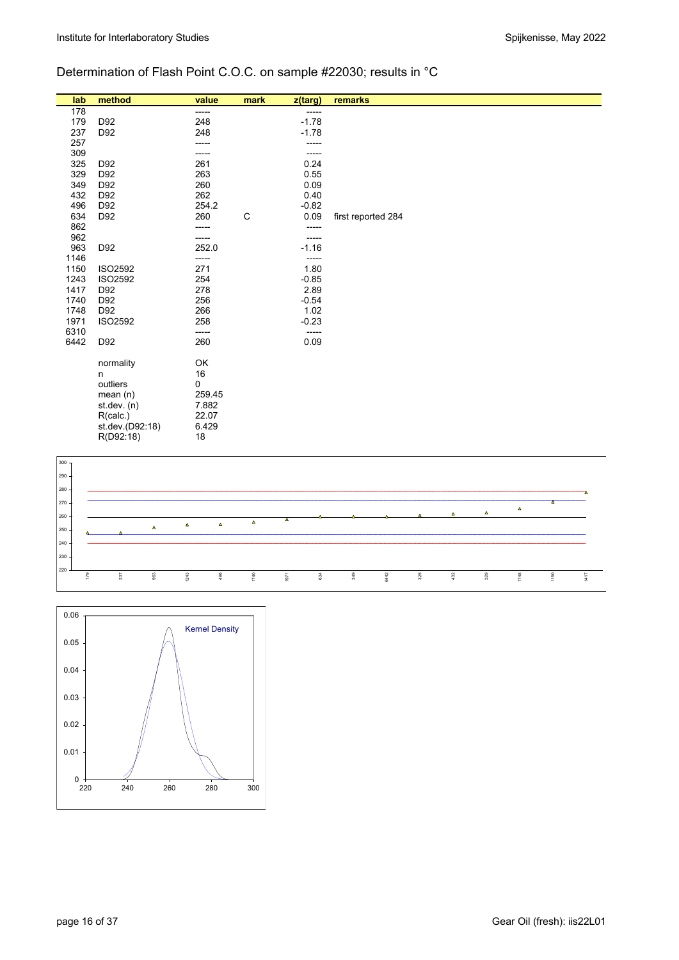## Determination of Flash Point C.O.C. on sample #22030; results in °C

| lab  | method          | value  | mark | $z$ (targ) | remarks            |
|------|-----------------|--------|------|------------|--------------------|
| 178  |                 | -----  |      | -----      |                    |
| 179  | D92             | 248    |      | $-1.78$    |                    |
| 237  | D92             | 248    |      | $-1.78$    |                    |
| 257  |                 | -----  |      | -----      |                    |
| 309  |                 | -----  |      | -----      |                    |
| 325  | D92             | 261    |      | 0.24       |                    |
| 329  | D92             | 263    |      | 0.55       |                    |
| 349  | D92             | 260    |      | 0.09       |                    |
| 432  | D92             | 262    |      | 0.40       |                    |
| 496  | D92             | 254.2  |      | $-0.82$    |                    |
| 634  | D92             | 260    | C    | 0.09       | first reported 284 |
| 862  |                 | -----  |      | -----      |                    |
| 962  |                 | -----  |      | -----      |                    |
| 963  | D92             | 252.0  |      | $-1.16$    |                    |
| 1146 |                 | -----  |      | -----      |                    |
| 1150 | <b>ISO2592</b>  | 271    |      | 1.80       |                    |
| 1243 | <b>ISO2592</b>  | 254    |      | $-0.85$    |                    |
| 1417 | D92             | 278    |      | 2.89       |                    |
| 1740 | D92             | 256    |      | $-0.54$    |                    |
| 1748 | D92             | 266    |      | 1.02       |                    |
| 1971 | ISO2592         | 258    |      | $-0.23$    |                    |
| 6310 |                 | -----  |      | -----      |                    |
| 6442 | D92             | 260    |      | 0.09       |                    |
|      |                 |        |      |            |                    |
|      | normality       | OK     |      |            |                    |
|      | n               | 16     |      |            |                    |
|      | outliers        | 0      |      |            |                    |
|      | mean $(n)$      | 259.45 |      |            |                    |
|      | st. dev. (n)    | 7.882  |      |            |                    |
|      | R(calc.)        | 22.07  |      |            |                    |
|      | st.dev.(D92:18) | 6.429  |      |            |                    |
|      | R(D92:18)       | 18     |      |            |                    |



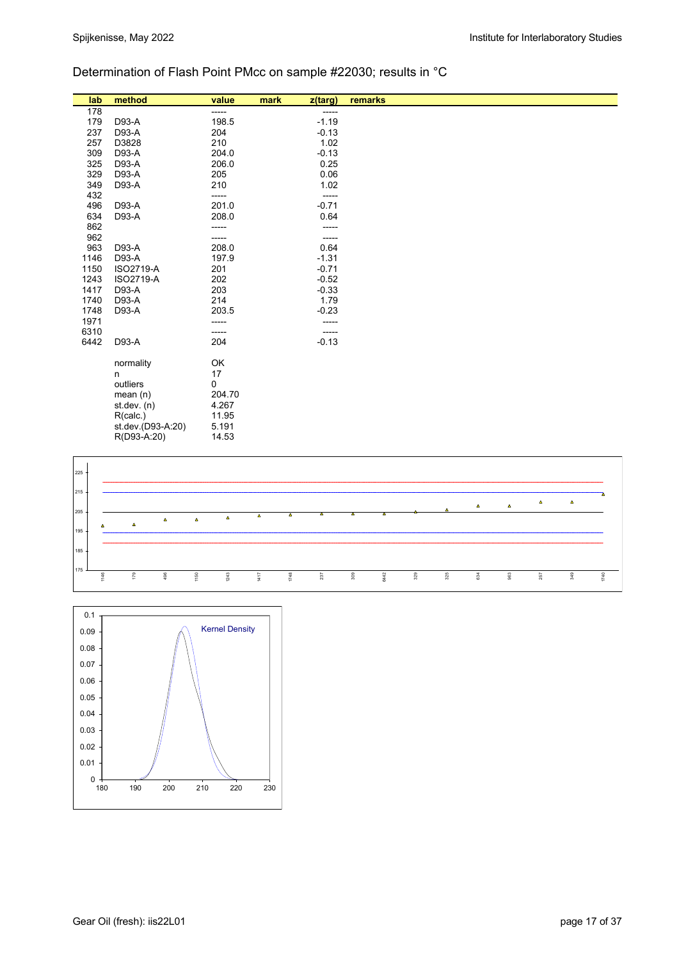## Determination of Flash Point PMcc on sample #22030; results in °C

| lab  | method            | value  | mark<br>z(targ) | remarks |
|------|-------------------|--------|-----------------|---------|
| 178  |                   | -----  | -----           |         |
| 179  | D93-A             | 198.5  | $-1.19$         |         |
| 237  | D93-A             | 204    | $-0.13$         |         |
| 257  | D3828             | 210    | 1.02            |         |
| 309  | D93-A             | 204.0  | $-0.13$         |         |
| 325  | D93-A             | 206.0  | 0.25            |         |
| 329  | D93-A             | 205    | 0.06            |         |
| 349  | D93-A             | 210    | 1.02            |         |
| 432  |                   | -----  | -----           |         |
| 496  | D93-A             | 201.0  | $-0.71$         |         |
| 634  | D93-A             | 208.0  | 0.64            |         |
| 862  |                   | -----  | -----           |         |
| 962  |                   | -----  | -----           |         |
| 963  | D93-A             | 208.0  | 0.64            |         |
| 1146 | D93-A             | 197.9  | $-1.31$         |         |
| 1150 | ISO2719-A         | 201    | $-0.71$         |         |
| 1243 | ISO2719-A         | 202    | $-0.52$         |         |
| 1417 | D93-A             | 203    | $-0.33$         |         |
| 1740 | D93-A             | 214    | 1.79            |         |
| 1748 | D93-A             | 203.5  | $-0.23$         |         |
| 1971 |                   | -----  | -----           |         |
| 6310 |                   | -----  | -----           |         |
| 6442 | D93-A             | 204    | $-0.13$         |         |
|      | normality         | OK     |                 |         |
|      | n                 | 17     |                 |         |
|      | outliers          | 0      |                 |         |
|      | mean(n)           | 204.70 |                 |         |
|      | st.dev. (n)       | 4.267  |                 |         |
|      | R(calc.)          | 11.95  |                 |         |
|      | st.dev.(D93-A:20) | 5.191  |                 |         |
|      | R(D93-A:20)       | 14.53  |                 |         |



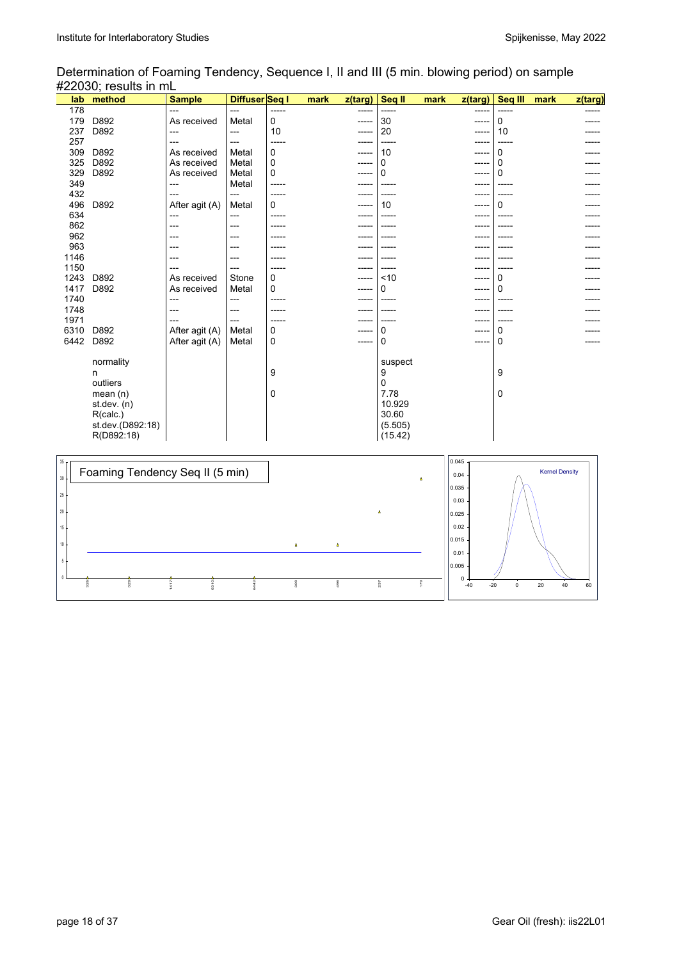L

### Determination of Foaming Tendency, Sequence I, II and III (5 min. blowing period) on sample #22030; results in mL

| lab  | method                                                                                                | <b>Sample</b>  | Diffuser Seq I |             | mark | z(targ) | Seq II                                                                       | mark | z(targ) | Seq III      | mark | z(targ) |
|------|-------------------------------------------------------------------------------------------------------|----------------|----------------|-------------|------|---------|------------------------------------------------------------------------------|------|---------|--------------|------|---------|
| 178  |                                                                                                       | ---            | ---            | -----       |      | -----   | $- - - - -$                                                                  |      | -----   | -----        |      |         |
| 179  | D892                                                                                                  | As received    | Metal          | 0           |      | -----   | 30                                                                           |      | -----   | 0            |      |         |
| 237  | D892                                                                                                  | $---$          | ---            | 10          |      | ----    | 20                                                                           |      | -----   | 10           |      |         |
| 257  |                                                                                                       | ---            | ---            |             |      |         |                                                                              |      | -----   |              |      |         |
| 309  | D892                                                                                                  | As received    | Metal          | $\Omega$    |      | -----   | 10                                                                           |      | -----   | 0            |      |         |
| 325  | D892                                                                                                  | As received    | Metal          | $\mathbf 0$ |      | -----   | 0                                                                            |      | -----   | 0            |      |         |
| 329  | D892                                                                                                  | As received    | Metal          | 0           |      |         | 0                                                                            |      |         | <sup>0</sup> |      |         |
| 349  |                                                                                                       | ---            | Metal          |             |      |         |                                                                              |      |         |              |      |         |
| 432  |                                                                                                       | $---$          | ---            |             |      | -----   |                                                                              |      | -----   |              |      |         |
| 496  | D892                                                                                                  | After agit (A) | Metal          | $\Omega$    |      | -----   | 10                                                                           |      | -----   | 0            |      |         |
| 634  |                                                                                                       | $---$          | ---            |             |      | ----    |                                                                              |      | ----    |              |      |         |
| 862  |                                                                                                       | ---            | ---            |             |      |         |                                                                              |      | ----    |              |      |         |
| 962  |                                                                                                       |                | ---            |             |      |         |                                                                              |      |         |              |      |         |
| 963  |                                                                                                       |                | ---            |             |      |         |                                                                              |      |         |              |      |         |
| 1146 |                                                                                                       |                | ---            |             |      |         |                                                                              |      |         |              |      |         |
| 1150 |                                                                                                       |                | ---            |             |      |         |                                                                              |      |         |              |      |         |
| 1243 | D892                                                                                                  | As received    | Stone          | 0           |      | -----   | < 10                                                                         |      |         | 0            |      |         |
| 1417 | D892                                                                                                  | As received    | Metal          | 0           |      | -----   | 0                                                                            |      | -----   | 0            |      |         |
| 1740 |                                                                                                       | ---            | ---            |             |      | ----    |                                                                              |      | ----    |              |      |         |
| 1748 |                                                                                                       | ---            | ---            |             |      | ----    |                                                                              |      | ----    |              |      |         |
| 1971 |                                                                                                       |                | ---            |             |      |         |                                                                              |      |         |              |      |         |
| 6310 | D892                                                                                                  | After agit (A) | Metal          | 0           |      |         | 0                                                                            |      |         | 0            |      |         |
| 6442 | D892                                                                                                  | After agit (A) | Metal          | 0           |      | -----   | 0                                                                            |      | -----   | $\Omega$     |      |         |
|      | normality<br>n<br>outliers<br>mean $(n)$<br>st.dev. (n)<br>R(calc.)<br>st.dev.(D892:18)<br>R(D892:18) |                |                | 9<br>0      |      |         | suspect<br>9<br>$\mathbf 0$<br>7.78<br>10.929<br>30.60<br>(5.505)<br>(15.42) |      |         | 9<br>0       |      |         |

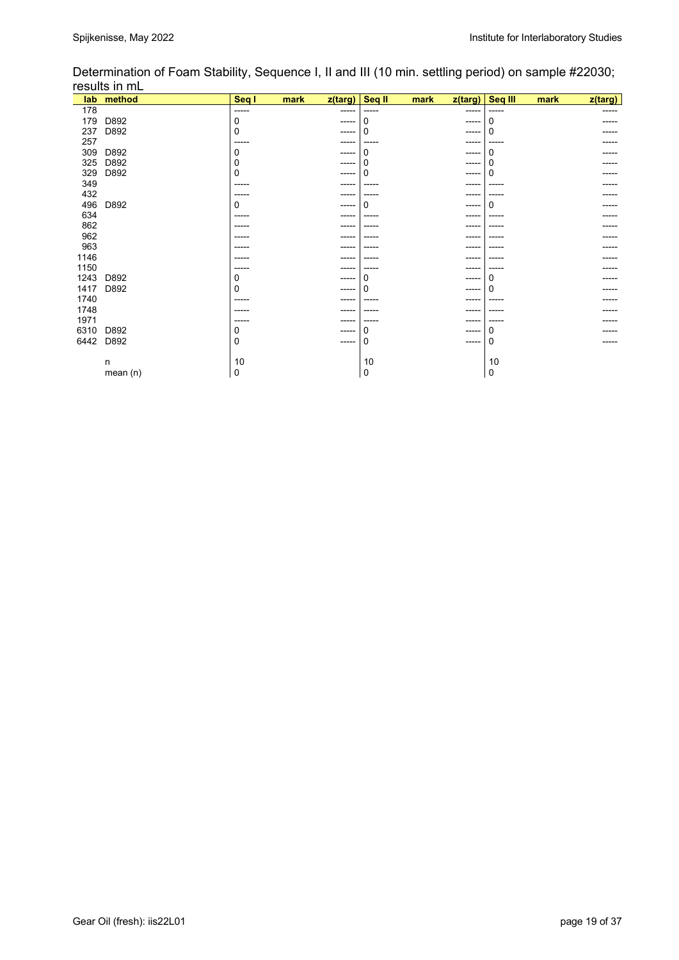|      | lab method | Seq I | mark | z(targ)     | Seq II | mark | z(targ)     | Seq III | mark | z(targ) |
|------|------------|-------|------|-------------|--------|------|-------------|---------|------|---------|
| 178  |            | ----- |      | -----       | -----  |      | -----       | -----   |      |         |
| 179  | D892       | 0     |      | $---$       | 0      |      | -----       | 0       |      |         |
| 237  | D892       | 0     |      | $---$       | 0      |      | -----       | ი       |      |         |
| 257  |            | ----  |      |             |        |      |             |         |      |         |
| 309  | D892       | 0     |      | $---$       | ი      |      | $- - - - -$ | 0       |      |         |
| 325  | D892       | 0     |      | $---$       |        |      | -----       | n       |      |         |
| 329  | D892       | 0     |      | ----        |        |      | -----       | o       |      |         |
| 349  |            | ----  |      | ----        |        |      | ----        |         |      |         |
| 432  |            | ----  |      |             |        |      |             |         |      |         |
| 496  | D892       | 0     |      | ----        | ი      |      | $---$       | ი       |      |         |
| 634  |            | ----  |      |             |        |      |             |         |      |         |
| 862  |            |       |      |             |        |      |             |         |      |         |
| 962  |            | ----  |      | ---         |        |      | ----        |         |      |         |
| 963  |            |       |      |             |        |      | ----        |         |      |         |
| 1146 |            |       |      |             |        |      |             |         |      |         |
| 1150 |            | ----  |      | ----        | ----   |      | ----        | ----    |      |         |
| 1243 | D892       | 0     |      | $---$       |        |      | ----        | n       |      |         |
| 1417 | D892       | 0     |      | $---$       |        |      | -----       | n       |      |         |
| 1740 |            | ----  |      | ----        |        |      | ----        |         |      |         |
| 1748 |            |       |      |             |        |      |             |         |      |         |
| 1971 |            | ---   |      |             |        |      |             |         |      |         |
| 6310 | D892       | 0     |      | $- - - - -$ | Ω      |      | -----       | 0       |      |         |
| 6442 | D892       | 0     |      | -----       | 0      |      | $- - - - -$ | 0       |      |         |
|      |            |       |      |             |        |      |             |         |      |         |
|      | n          | 10    |      |             | 10     |      |             | 10      |      |         |
|      | mean (n)   | 0     |      |             | 0      |      |             | 0       |      |         |

Determination of Foam Stability, Sequence I, II and III (10 min. settling period) on sample #22030; results in mL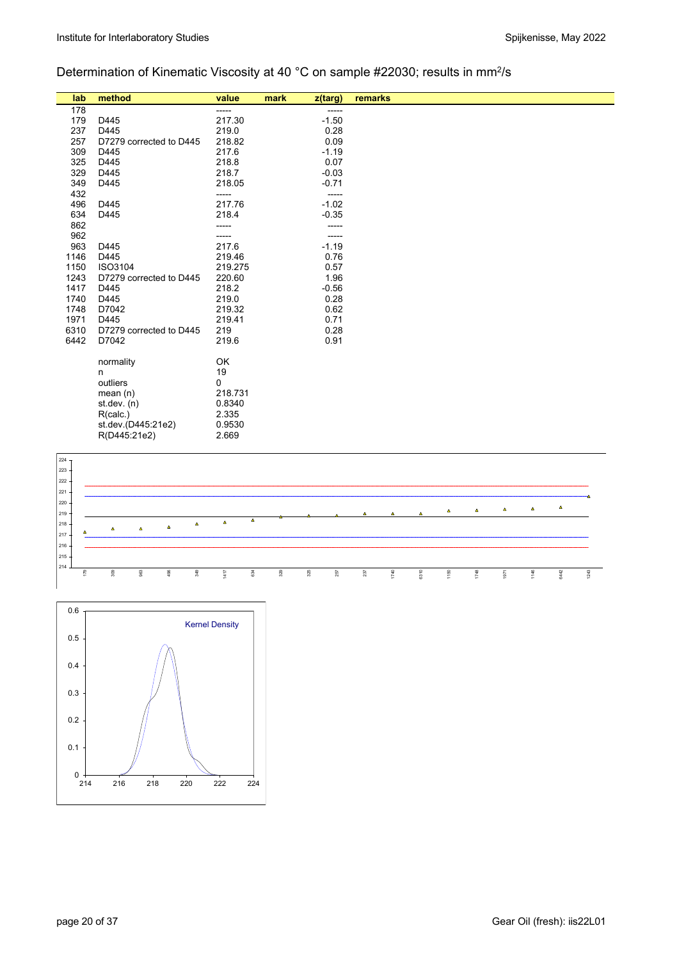# Determination of Kinematic Viscosity at 40 °C on sample #22030; results in mm2/s

| lab  | method                  | value       | mark | z(targ) | remarks |
|------|-------------------------|-------------|------|---------|---------|
| 178  |                         | -----       |      | -----   |         |
| 179  | D445                    | 217.30      |      | $-1.50$ |         |
| 237  | D445                    | 219.0       |      | 0.28    |         |
| 257  | D7279 corrected to D445 | 218.82      |      | 0.09    |         |
| 309  | D445                    | 217.6       |      | $-1.19$ |         |
| 325  | D445                    | 218.8       |      | 0.07    |         |
| 329  | D445                    | 218.7       |      | $-0.03$ |         |
| 349  | D445                    | 218.05      |      | $-0.71$ |         |
| 432  |                         | -----       |      | -----   |         |
| 496  | D445                    | 217.76      |      | $-1.02$ |         |
| 634  | D445                    | 218.4       |      | $-0.35$ |         |
| 862  |                         |             |      |         |         |
| 962  |                         | -----       |      |         |         |
| 963  | D445                    | 217.6       |      | $-1.19$ |         |
| 1146 | D445                    | 219.46      |      | 0.76    |         |
| 1150 | ISO3104                 | 219.275     |      | 0.57    |         |
| 1243 | D7279 corrected to D445 | 220.60      |      | 1.96    |         |
| 1417 | D445                    | 218.2       |      | $-0.56$ |         |
| 1740 | D445                    | 219.0       |      | 0.28    |         |
| 1748 | D7042                   | 219.32      |      | 0.62    |         |
| 1971 | D445                    | 219.41      |      | 0.71    |         |
| 6310 | D7279 corrected to D445 | 219         |      | 0.28    |         |
| 6442 | D7042                   | 219.6       |      | 0.91    |         |
|      | normality               | OK          |      |         |         |
|      |                         | 19          |      |         |         |
|      | n<br>outliers           | $\mathbf 0$ |      |         |         |
|      | mean $(n)$              | 218.731     |      |         |         |
|      | st.dev. (n)             | 0.8340      |      |         |         |
|      | R(calc.)                | 2.335       |      |         |         |
|      | st.dev.(D445:21e2)      | 0.9530      |      |         |         |
|      | R(D445:21e2)            | 2.669       |      |         |         |
|      |                         |             |      |         |         |



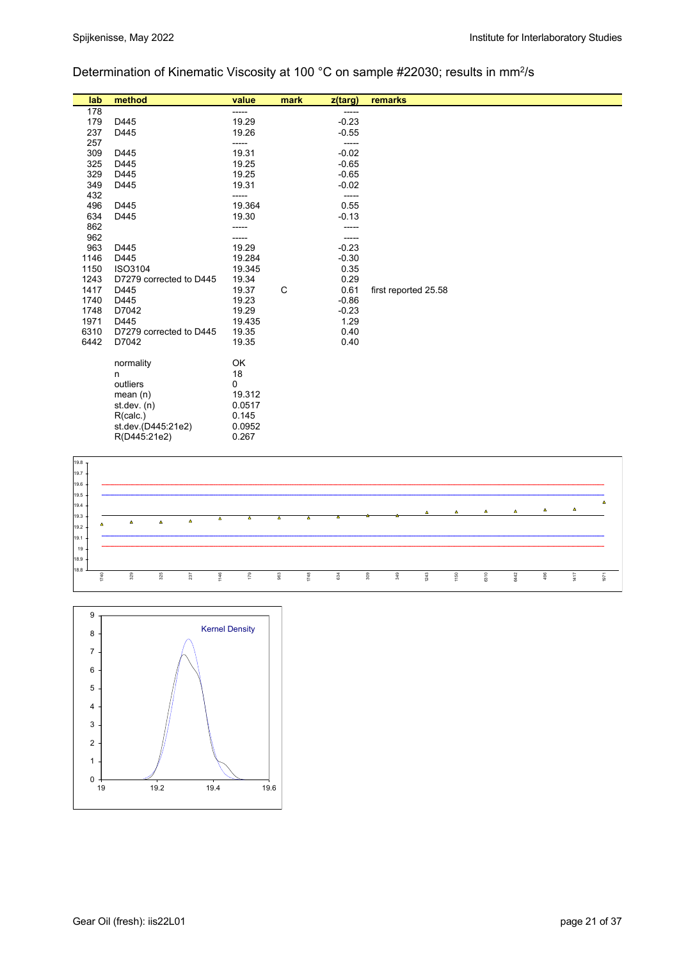## Determination of Kinematic Viscosity at 100 °C on sample #22030; results in mm<sup>2</sup>/s

| lab  | method                    | value       | mark | z(targ) | remarks              |
|------|---------------------------|-------------|------|---------|----------------------|
| 178  |                           | -----       |      | -----   |                      |
| 179  | D445                      | 19.29       |      | $-0.23$ |                      |
| 237  | D445                      | 19.26       |      | $-0.55$ |                      |
| 257  |                           | -----       |      | -----   |                      |
| 309  | D445                      | 19.31       |      | $-0.02$ |                      |
| 325  | D445                      | 19.25       |      | $-0.65$ |                      |
| 329  | D445                      | 19.25       |      | $-0.65$ |                      |
| 349  | D445                      | 19.31       |      | $-0.02$ |                      |
| 432  |                           | -----       |      | -----   |                      |
| 496  | D445                      | 19.364      |      | 0.55    |                      |
| 634  | D445                      | 19.30       |      | $-0.13$ |                      |
| 862  |                           | -----       |      | -----   |                      |
| 962  |                           | -----       |      | -----   |                      |
| 963  | D445                      | 19.29       |      | $-0.23$ |                      |
| 1146 | D445                      | 19.284      |      | $-0.30$ |                      |
| 1150 | ISO3104                   | 19.345      |      | 0.35    |                      |
| 1243 | D7279 corrected to D445   | 19.34       |      | 0.29    |                      |
| 1417 | D445                      | 19.37       | C    | 0.61    | first reported 25.58 |
| 1740 | D445                      | 19.23       |      | $-0.86$ |                      |
| 1748 | D7042                     | 19.29       |      | $-0.23$ |                      |
| 1971 | D445                      | 19.435      |      | 1.29    |                      |
| 6310 | D7279 corrected to D445   | 19.35       |      | 0.40    |                      |
| 6442 | D7042                     | 19.35       |      | 0.40    |                      |
|      |                           |             |      |         |                      |
|      | normality                 | OK<br>18    |      |         |                      |
|      | n                         |             |      |         |                      |
|      | outliers                  | 0<br>19.312 |      |         |                      |
|      | mean $(n)$<br>st.dev. (n) | 0.0517      |      |         |                      |
|      | R(calc.)                  | 0.145       |      |         |                      |
|      | st.dev.(D445:21e2)        | 0.0952      |      |         |                      |
|      | R(D445:21e2)              | 0.267       |      |         |                      |
|      |                           |             |      |         |                      |



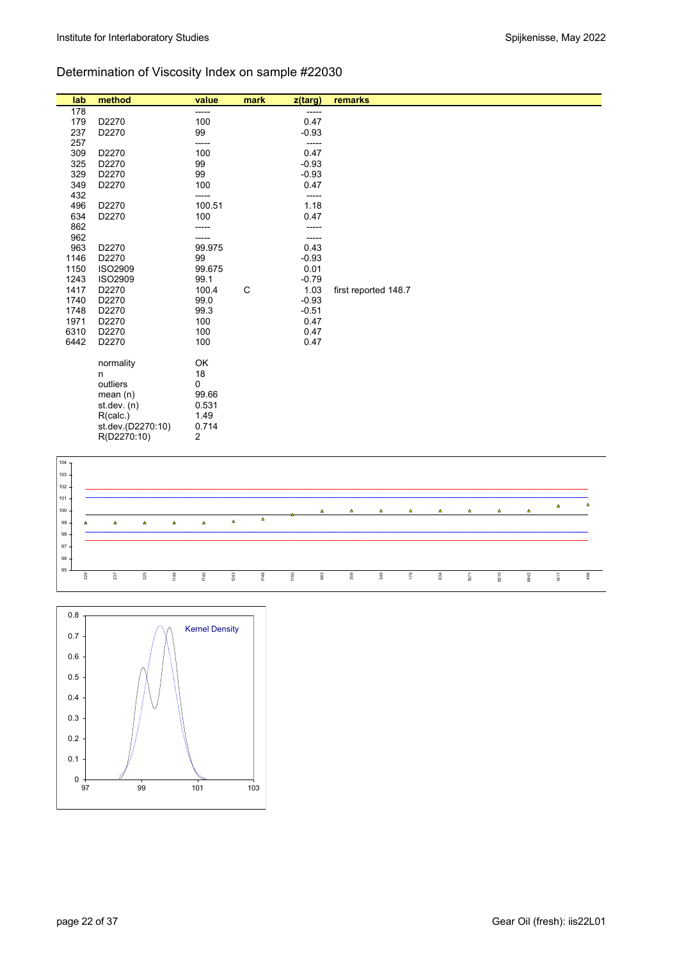# Determination of Viscosity Index on sample #22030

| lab  | method            | value  | mark         | z(targ) | remarks              |
|------|-------------------|--------|--------------|---------|----------------------|
| 178  |                   | -----  |              | -----   |                      |
| 179  | D2270             | 100    |              | 0.47    |                      |
| 237  | D2270             | 99     |              | $-0.93$ |                      |
| 257  |                   | -----  |              | -----   |                      |
| 309  | D2270             | 100    |              | 0.47    |                      |
| 325  | D2270             | 99     |              | $-0.93$ |                      |
| 329  | D2270             | 99     |              | $-0.93$ |                      |
| 349  | D2270             | 100    |              | 0.47    |                      |
| 432  |                   | -----  |              | -----   |                      |
| 496  | D2270             | 100.51 |              | 1.18    |                      |
| 634  | D2270             | 100    |              | 0.47    |                      |
| 862  |                   | -----  |              |         |                      |
| 962  |                   | -----  |              | -----   |                      |
| 963  | D2270             | 99.975 |              | 0.43    |                      |
| 1146 | D2270             | 99     |              | $-0.93$ |                      |
| 1150 | <b>ISO2909</b>    | 99.675 |              | 0.01    |                      |
| 1243 | <b>ISO2909</b>    | 99.1   |              | $-0.79$ |                      |
| 1417 | D2270             | 100.4  | $\mathsf{C}$ | 1.03    | first reported 148.7 |
| 1740 | D2270             | 99.0   |              | $-0.93$ |                      |
| 1748 | D2270             | 99.3   |              | $-0.51$ |                      |
| 1971 | D2270             | 100    |              | 0.47    |                      |
| 6310 | D2270             | 100    |              | 0.47    |                      |
| 6442 | D2270             | 100    |              | 0.47    |                      |
|      | normality         | OK     |              |         |                      |
|      | n                 | 18     |              |         |                      |
|      | outliers          | 0      |              |         |                      |
|      | mean(n)           | 99.66  |              |         |                      |
|      | st.dev. (n)       | 0.531  |              |         |                      |
|      | R(calc.)          | 1.49   |              |         |                      |
|      | st.dev.(D2270:10) | 0.714  |              |         |                      |
|      | R(D2270:10)       | 2      |              |         |                      |
|      |                   |        |              |         |                      |



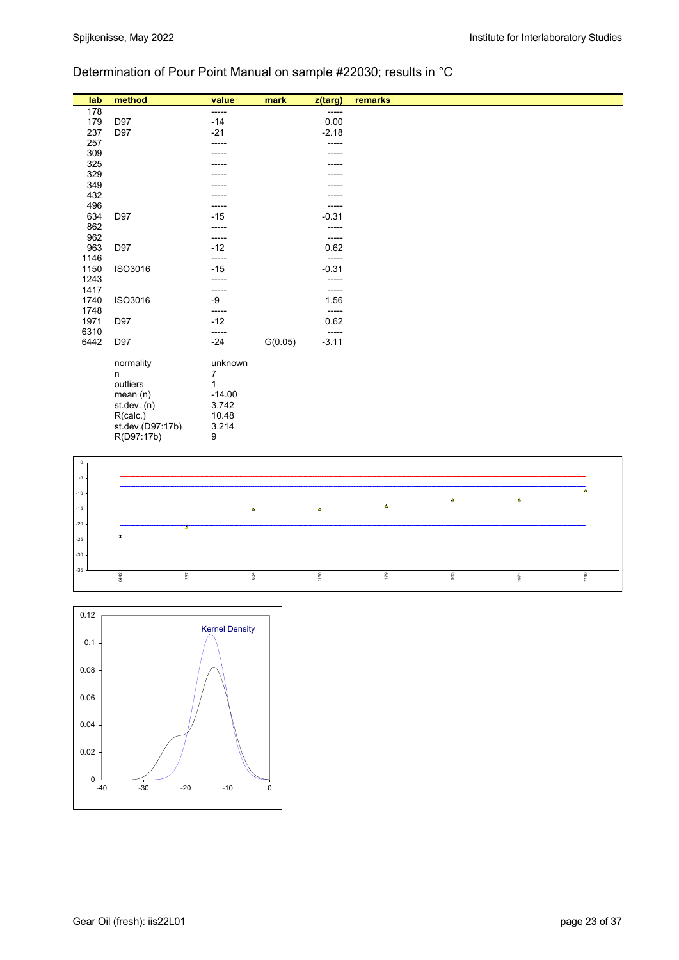## Determination of Pour Point Manual on sample #22030; results in °C

| lab          | method           | value          | mark    | z(targ)          | remarks |
|--------------|------------------|----------------|---------|------------------|---------|
| 178          |                  | -----          |         | -----            |         |
| 179          | D97              | $-14$          |         | 0.00             |         |
| 237          | D97              | $-21$          |         | $-2.18$          |         |
| 257          |                  | -----          |         | -----            |         |
| 309          |                  |                |         | ----             |         |
| 325          |                  | -----          |         | -----            |         |
| 329          |                  | -----          |         | -----            |         |
| 349          |                  |                |         | ----             |         |
| 432          |                  |                |         |                  |         |
| 496          |                  | -----          |         | -----            |         |
| 634          | D97              | $-15$          |         | $-0.31$          |         |
| 862          |                  | -----          |         | -----            |         |
| 962          |                  | -----          |         | -----            |         |
| 963          | D97              | $-12$          |         | 0.62             |         |
| 1146         |                  | -----          |         | -----            |         |
| 1150         | ISO3016          | $-15$          |         | $-0.31$          |         |
| 1243         |                  | -----          |         | -----            |         |
| 1417         |                  | -----          |         | -----            |         |
| 1740         | ISO3016          | -9             |         | 1.56             |         |
| 1748         |                  | -----<br>$-12$ |         | -----            |         |
| 1971<br>6310 | D97              |                |         | 0.62             |         |
| 6442         | D97              | -----<br>$-24$ | G(0.05) | -----<br>$-3.11$ |         |
|              |                  |                |         |                  |         |
|              | normality        | unknown        |         |                  |         |
|              | n                | 7              |         |                  |         |
|              | outliers         | 1              |         |                  |         |
|              | mean(n)          | $-14.00$       |         |                  |         |
|              | st. dev. (n)     | 3.742          |         |                  |         |
|              | R(calc.)         | 10.48          |         |                  |         |
|              | st.dev.(D97:17b) | 3.214          |         |                  |         |
|              | R(D97:17b)       | 9              |         |                  |         |



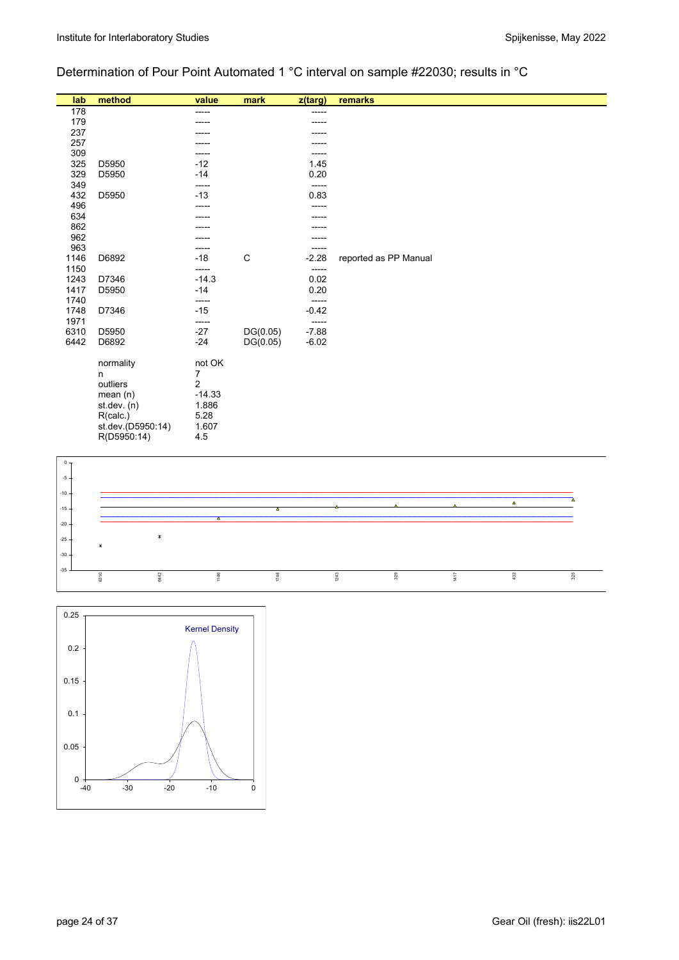# Determination of Pour Point Automated 1 °C interval on sample #22030; results in °C

| lab          | method            | value          | mark     | z(targ)          | remarks               |
|--------------|-------------------|----------------|----------|------------------|-----------------------|
| 178          |                   | -----          |          | -----            |                       |
| 179          |                   |                |          |                  |                       |
| 237          |                   |                |          |                  |                       |
| 257          |                   |                |          |                  |                       |
| 309          |                   | -----          |          |                  |                       |
| 325          | D5950             | $-12$          |          | 1.45             |                       |
| 329          | D5950             | $-14$          |          | 0.20             |                       |
| 349          |                   | -----          |          | -----            |                       |
| 432          | D5950             | $-13$          |          | 0.83             |                       |
| 496          |                   | -----          |          |                  |                       |
| 634          |                   | -----          |          |                  |                       |
| 862          |                   |                |          |                  |                       |
| 962          |                   |                |          |                  |                       |
| 963          |                   | $-18$          | C        |                  |                       |
| 1146<br>1150 | D6892             | -----          |          | $-2.28$<br>----- | reported as PP Manual |
| 1243         | D7346             | $-14.3$        |          | 0.02             |                       |
| 1417         | D5950             | $-14$          |          | 0.20             |                       |
| 1740         |                   | -----          |          | -----            |                       |
| 1748         | D7346             | $-15$          |          | $-0.42$          |                       |
| 1971         |                   | -----          |          | -----            |                       |
| 6310         | D5950             | $-27$          | DG(0.05) | $-7.88$          |                       |
| 6442         | D6892             | $-24$          | DG(0.05) | $-6.02$          |                       |
|              |                   |                |          |                  |                       |
|              | normality         | not OK         |          |                  |                       |
|              | n                 | 7              |          |                  |                       |
|              | outliers          | $\overline{2}$ |          |                  |                       |
|              | mean(n)           | $-14.33$       |          |                  |                       |
|              | st.dev. (n)       | 1.886          |          |                  |                       |
|              | R(calc.)          | 5.28           |          |                  |                       |
|              | st.dev.(D5950:14) | 1.607          |          |                  |                       |
|              | R(D5950:14)       | 4.5            |          |                  |                       |
|              |                   |                |          |                  |                       |



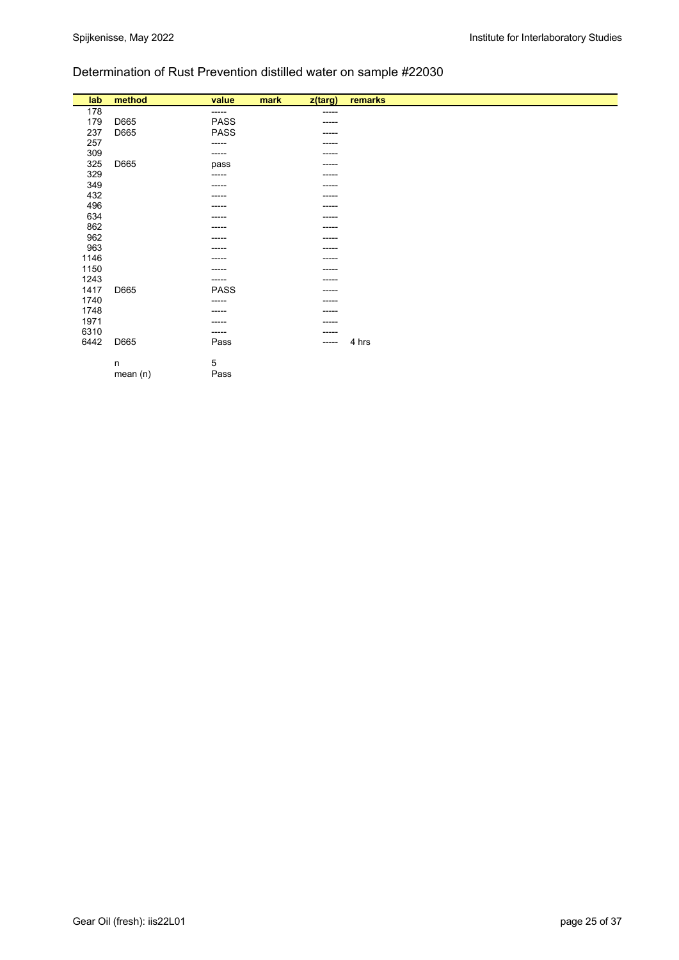## Determination of Rust Prevention distilled water on sample #22030

| lab  | method | value       | mark | z(targ)     | remarks |
|------|--------|-------------|------|-------------|---------|
| 178  |        | $-----1$    |      | -----       |         |
| 179  | D665   | PASS        |      | -----       |         |
| 237  | D665   | <b>PASS</b> |      | -----       |         |
| 257  |        | -----       |      | -----       |         |
| 309  |        | ------      |      | -----       |         |
| 325  | D665   | pass        |      | ------      |         |
| 329  |        | -----       |      | -----       |         |
| 349  |        | ------      |      | -----       |         |
| 432  |        | ----        |      | -----       |         |
| 496  |        |             |      | -----       |         |
| 634  |        | ------      |      | $- - - - -$ |         |
| 862  |        |             |      | -----       |         |
| 962  |        | ----        |      | -----       |         |
| 963  |        | ----        |      | -----       |         |
| 1146 |        |             |      | -----       |         |
| 1150 |        | ------      |      | ------      |         |
| 1243 |        | ------      |      | -----       |         |
| 1417 | D665   | <b>PASS</b> |      | -----       |         |
| 1740 |        | -----       |      | -----       |         |
| 1748 |        | -----       |      | -----       |         |
| 1971 |        | ------      |      | $- - - - -$ |         |
| 6310 |        | ------      |      | -----       |         |
| 6442 | D665   | Pass        |      | -----       | 4 hrs   |
|      |        |             |      |             |         |
|      | n      | 5           |      |             |         |

 $m$ ean (n)  $P$ ass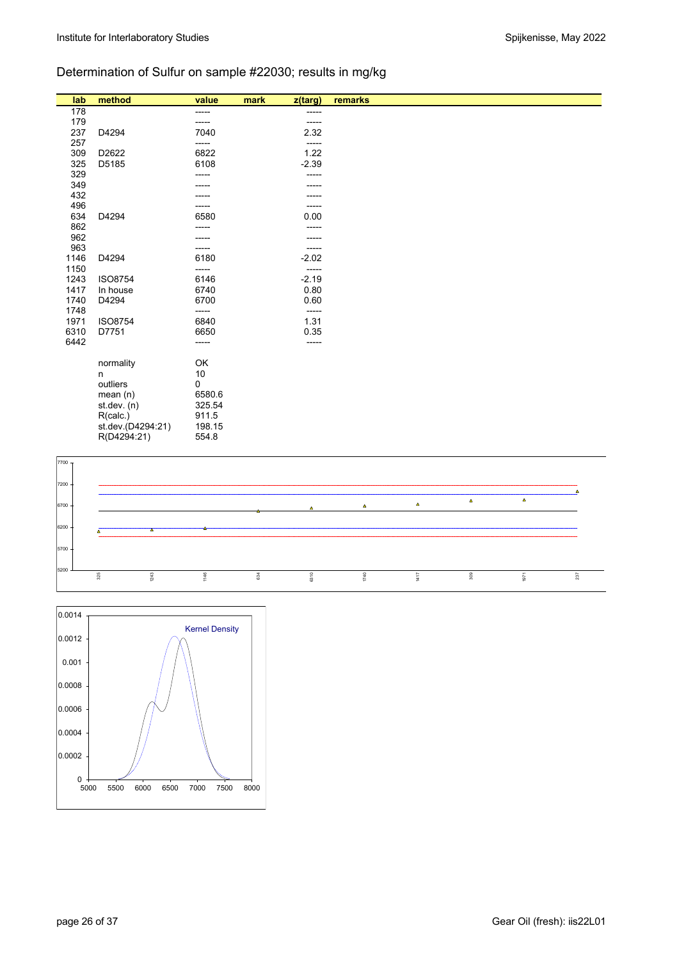# Determination of Sulfur on sample #22030; results in mg/kg

| lab  | method            | value  | mark<br>z(targ) | remarks |  |
|------|-------------------|--------|-----------------|---------|--|
| 178  |                   | -----  | -----           |         |  |
| 179  |                   | -----  | -----           |         |  |
| 237  | D4294             | 7040   | 2.32            |         |  |
| 257  |                   | -----  | -----           |         |  |
| 309  | D2622             | 6822   | 1.22            |         |  |
| 325  | D5185             | 6108   | $-2.39$         |         |  |
| 329  |                   |        | -----           |         |  |
| 349  |                   |        |                 |         |  |
| 432  |                   |        |                 |         |  |
| 496  |                   |        | -----           |         |  |
| 634  | D4294             | 6580   | 0.00            |         |  |
| 862  |                   |        | -----           |         |  |
| 962  |                   |        |                 |         |  |
| 963  |                   | -----  | -----           |         |  |
| 1146 | D4294             | 6180   | $-2.02$         |         |  |
| 1150 |                   | -----  | -----           |         |  |
| 1243 | <b>ISO8754</b>    | 6146   | $-2.19$         |         |  |
| 1417 | In house          | 6740   | 0.80            |         |  |
| 1740 | D4294             | 6700   | 0.60            |         |  |
| 1748 |                   | -----  | -----           |         |  |
| 1971 | <b>ISO8754</b>    | 6840   | 1.31            |         |  |
| 6310 | D7751             | 6650   | 0.35            |         |  |
| 6442 |                   | -----  | -----           |         |  |
|      | normality         | OK     |                 |         |  |
|      | n                 | 10     |                 |         |  |
|      | outliers          | 0      |                 |         |  |
|      | mean $(n)$        | 6580.6 |                 |         |  |
|      | st.dev. (n)       | 325.54 |                 |         |  |
|      | R(calc.)          | 911.5  |                 |         |  |
|      | st.dev.(D4294:21) | 198.15 |                 |         |  |
|      | R(D4294:21)       | 554.8  |                 |         |  |



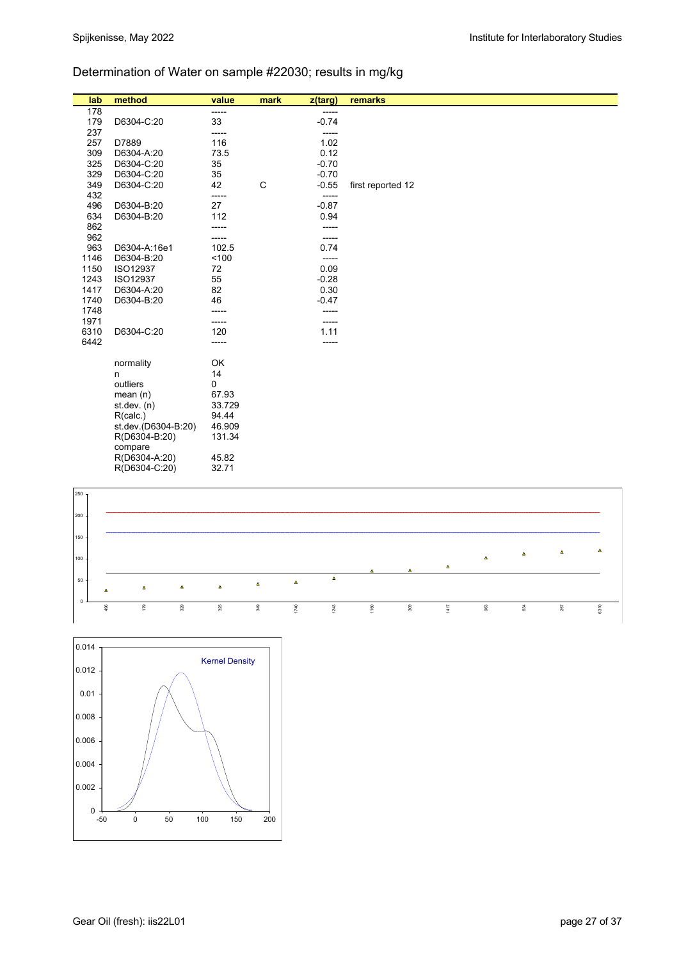# Determination of Water on sample #22030; results in mg/kg

| lab        | method                     | value  | mark        | z(targ)       | remarks           |
|------------|----------------------------|--------|-------------|---------------|-------------------|
| 178        |                            | -----  |             | -----         |                   |
| 179        | D6304-C:20                 | 33     |             | $-0.74$       |                   |
| 237        |                            | -----  |             | -----         |                   |
| 257        | D7889                      | 116    |             | 1.02          |                   |
| 309        | D6304-A:20                 | 73.5   |             | 0.12          |                   |
| 325        | D6304-C:20                 | 35     |             | $-0.70$       |                   |
| 329        | D6304-C:20                 | 35     |             | $-0.70$       |                   |
| 349        | D6304-C:20                 | 42     | $\mathsf C$ | $-0.55$       | first reported 12 |
| 432        |                            | -----  |             | -----         |                   |
| 496        | D6304-B:20                 | 27     |             | $-0.87$       |                   |
| 634        | D6304-B:20                 | 112    |             | 0.94          |                   |
| 862        |                            |        |             |               |                   |
| 962<br>963 |                            | 102.5  |             | -----<br>0.74 |                   |
| 1146       | D6304-A:16e1<br>D6304-B:20 | 100    |             | -----         |                   |
| 1150       | ISO12937                   | 72     |             | 0.09          |                   |
| 1243       | ISO12937                   | 55     |             | $-0.28$       |                   |
| 1417       | D6304-A:20                 | 82     |             | 0.30          |                   |
| 1740       | D6304-B:20                 | 46     |             | $-0.47$       |                   |
| 1748       |                            |        |             | -----         |                   |
| 1971       |                            | -----  |             | -----         |                   |
| 6310       | D6304-C:20                 | 120    |             | 1.11          |                   |
| 6442       |                            | -----  |             | -----         |                   |
|            |                            |        |             |               |                   |
|            | normality                  | OK     |             |               |                   |
|            | n                          | 14     |             |               |                   |
|            | outliers                   | 0      |             |               |                   |
|            | mean $(n)$                 | 67.93  |             |               |                   |
|            | st.dev. $(n)$              | 33.729 |             |               |                   |
|            | R(calc.)                   | 94.44  |             |               |                   |
|            | st.dev.(D6304-B.20)        | 46.909 |             |               |                   |
|            | R(D6304-B:20)              | 131.34 |             |               |                   |
|            | compare                    |        |             |               |                   |
|            | R(D6304-A:20)              | 45.82  |             |               |                   |
|            | R(D6304-C:20)              | 32.71  |             |               |                   |



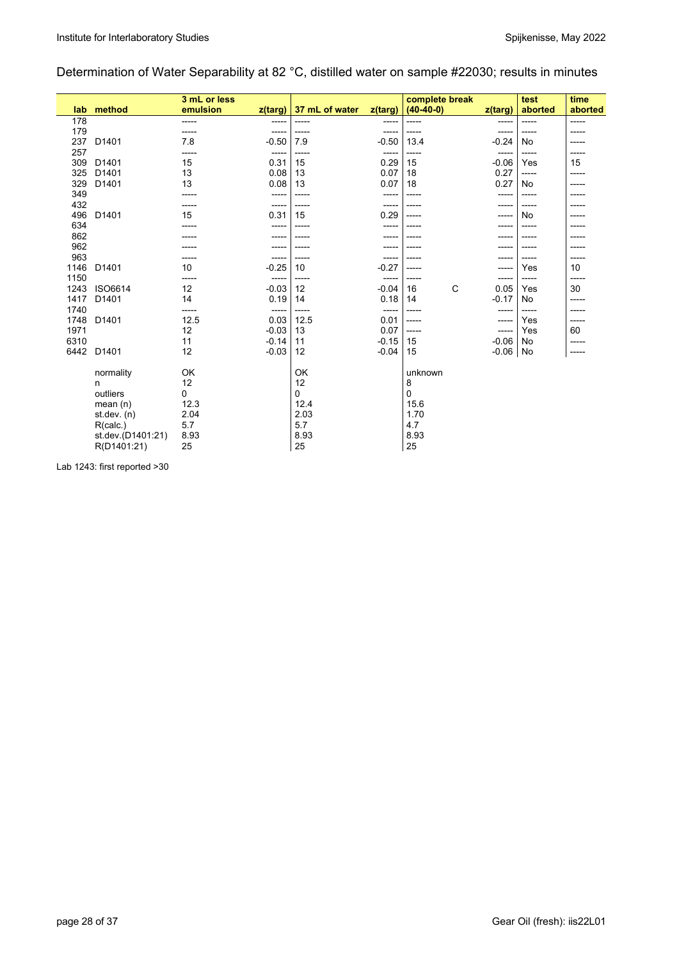## Determination of Water Separability at 82 °C, distilled water on sample #22030; results in minutes

|      |                   | 3 mL or less |         |                |         | complete break |         | test    | time    |
|------|-------------------|--------------|---------|----------------|---------|----------------|---------|---------|---------|
| lab  | method            | emulsion     | z(targ) | 37 mL of water | z(targ) | $(40-40-0)$    | z(targ) | aborted | aborted |
| 178  |                   | -----        | -----   | -----          | -----   | -----          | -----   | -----   | -----   |
| 179  |                   | -----        | -----   | -----          |         | -----          |         | -----   | -----   |
| 237  | D1401             | 7.8          | $-0.50$ | 7.9            | $-0.50$ | 13.4           | $-0.24$ | No      |         |
| 257  |                   | -----        | -----   | $- - - - -$    | -----   | -----          | -----   | -----   |         |
| 309  | D <sub>1401</sub> | 15           | 0.31    | 15             | 0.29    | 15             | $-0.06$ | Yes     | 15      |
| 325  | D <sub>1401</sub> | 13           | 0.08    | 13             | 0.07    | 18             | 0.27    | -----   | -----   |
| 329  | D1401             | 13           | 0.08    | 13             | 0.07    | 18             | 0.27    | No      |         |
| 349  |                   | -----        | -----   | -----          | ------  | -----          | -----   | -----   |         |
| 432  |                   | -----        | -----   | $- - - - -$    | -----   |                | -----   | -----   |         |
| 496  | D1401             | 15           | 0.31    | 15             | 0.29    | -----          | -----   | No      | -----   |
| 634  |                   |              | -----   |                | -----   |                | -----   | -----   |         |
| 862  |                   |              | -----   | -----          |         |                |         | -----   |         |
| 962  |                   |              |         |                |         |                |         |         |         |
| 963  |                   |              | -----   |                | -----   |                | -----   | -----   |         |
| 1146 | D <sub>1401</sub> | 10           | $-0.25$ | 10             | $-0.27$ | -----          | -----   | Yes     | 10      |
| 1150 |                   | -----        | -----   | -----          | -----   |                | -----   | -----   | -----   |
| 1243 | ISO6614           | 12           | $-0.03$ | 12             | $-0.04$ | C<br>16        | 0.05    | Yes     | 30      |
| 1417 | D1401             | 14           | 0.19    | 14             | 0.18    | 14             | $-0.17$ | No      | -----   |
| 1740 |                   | -----        | -----   | -----          | -----   |                | -----   | -----   |         |
| 1748 | D1401             | 12.5         | 0.03    | 12.5           | 0.01    | -----          | -----   | Yes     | -----   |
| 1971 |                   | 12           | $-0.03$ | 13             | 0.07    | -----          | -----   | Yes     | 60      |
| 6310 |                   | 11           | $-0.14$ | 11             | $-0.15$ | 15             | $-0.06$ | No      | -----   |
| 6442 | D <sub>1401</sub> | 12           | $-0.03$ | 12             | $-0.04$ | 15             | $-0.06$ | No      | -----   |
|      |                   |              |         |                |         |                |         |         |         |
|      | normality         | OK           |         | OK             |         | unknown        |         |         |         |
|      | n                 | 12           |         | 12             |         | 8              |         |         |         |
|      | outliers          | 0            |         | $\mathbf 0$    |         | $\Omega$       |         |         |         |
|      | mean $(n)$        | 12.3         |         | 12.4           |         | 15.6           |         |         |         |
|      | st.dev. (n)       | 2.04         |         | 2.03           |         | 1.70           |         |         |         |
|      | R(calc.)          | 5.7          |         | 5.7            |         | 4.7            |         |         |         |
|      | st.dev.(D1401:21) | 8.93         |         | 8.93           |         | 8.93           |         |         |         |
|      | R(D1401:21)       | 25           |         | 25             |         | 25             |         |         |         |

Lab 1243: first reported >30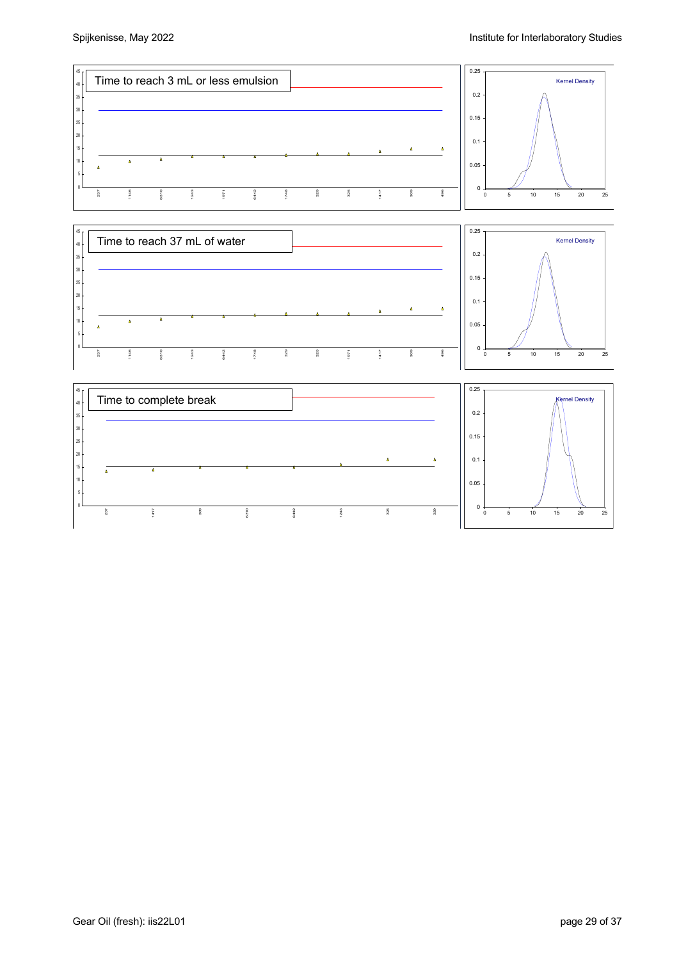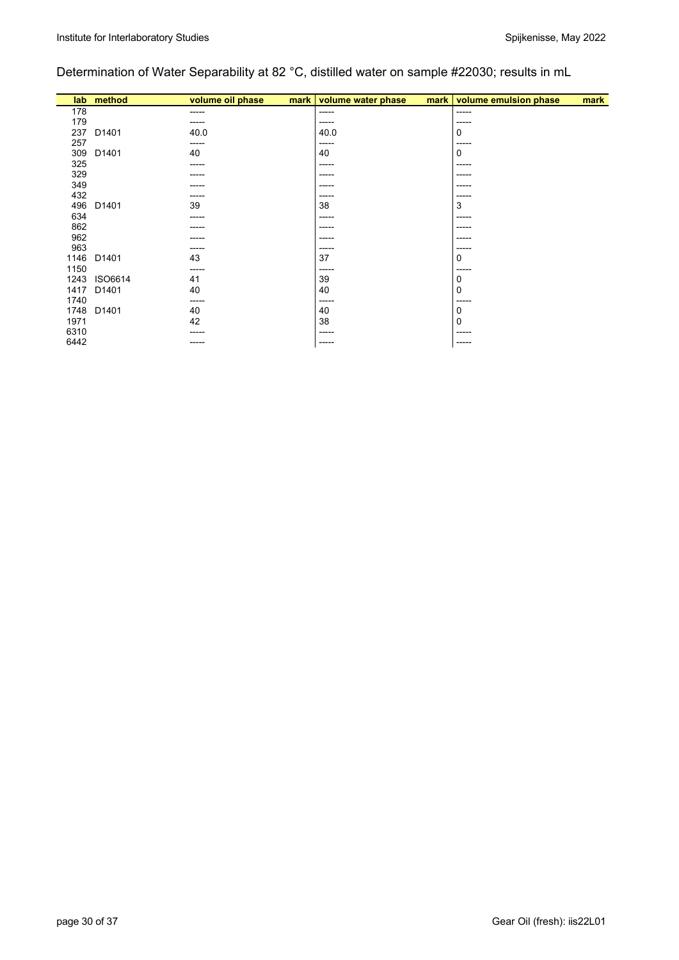# Determination of Water Separability at 82 °C, distilled water on sample #22030; results in mL

|      | lab method | volume oil phase<br>mark | volume water phase<br>mark | volume emulsion phase<br>mark |
|------|------------|--------------------------|----------------------------|-------------------------------|
| 178  |            | -----                    | -----                      | $-----1$                      |
| 179  |            | -----                    | -----                      | -----                         |
| 237  | D1401      | 40.0                     | 40.0                       | 0                             |
| 257  |            | -----                    | -----                      | -----                         |
| 309  | D1401      | 40                       | 40                         | 0                             |
| 325  |            | -----                    | -----                      | -----                         |
| 329  |            | -----                    | -----                      | -----                         |
| 349  |            | ----                     | -----                      | ------                        |
| 432  |            | -----                    | -----                      | -----                         |
| 496  | D1401      | 39                       | 38                         | 3                             |
| 634  |            | ------                   | -----                      | -----                         |
| 862  |            | -----                    | $- - - - -$                | ------                        |
| 962  |            | -----                    | -----                      | -----                         |
| 963  |            | -----                    | -----                      | -----                         |
| 1146 | D1401      | 43                       | 37                         | 0                             |
| 1150 |            | -----                    | -----                      | -----                         |
| 1243 | ISO6614    | 41                       | 39                         | 0                             |
| 1417 | D1401      | 40                       | 40                         | 0                             |
| 1740 |            | ------                   | -----                      | -----                         |
| 1748 | D1401      | 40                       | 40                         | 0                             |
| 1971 |            | 42                       | 38                         | $\mathbf 0$                   |
| 6310 |            | -----                    | -----                      | -----                         |
| 6442 |            | -----                    | $- - - - -$                | -----                         |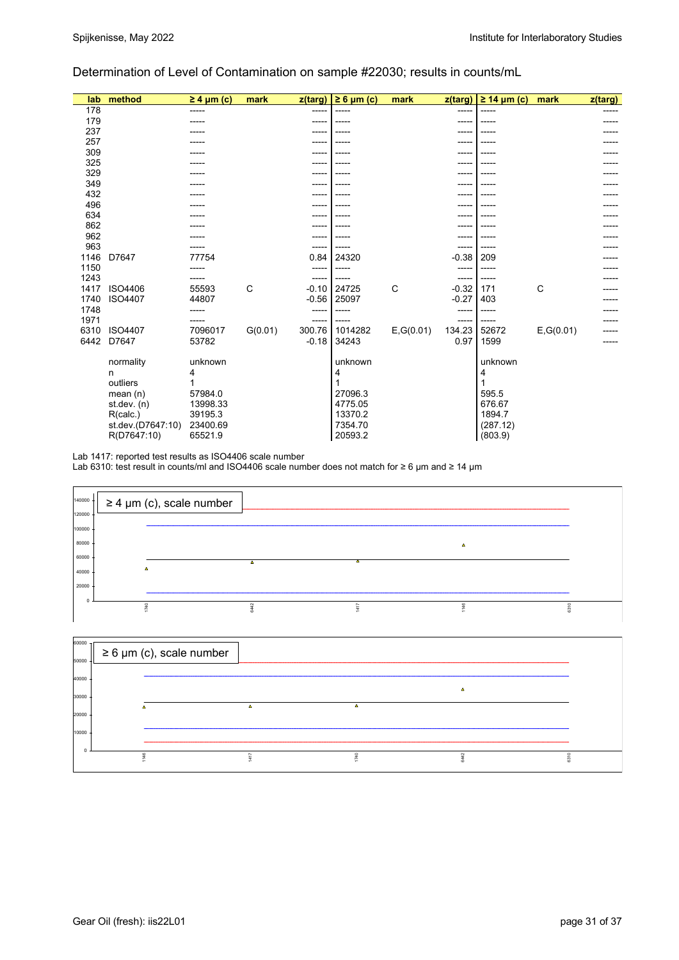### Determination of Level of Contamination on sample #22030; results in counts/mL

| lab  | method            | $\geq 4$ µm (c) | mark    | z(targ) | $\geq 6 \mu m$ (c) | mark       | z(targ) | $\geq$ 14 µm (c) | mark       | $z$ (targ) |
|------|-------------------|-----------------|---------|---------|--------------------|------------|---------|------------------|------------|------------|
| 178  |                   | -----           |         | -----   |                    |            | ----    |                  |            |            |
| 179  |                   |                 |         | -----   |                    |            |         |                  |            |            |
| 237  |                   |                 |         | ----    |                    |            |         |                  |            |            |
| 257  |                   |                 |         | ----    |                    |            |         |                  |            |            |
| 309  |                   |                 |         | ----    |                    |            |         |                  |            |            |
| 325  |                   |                 |         | -----   |                    |            |         |                  |            |            |
| 329  |                   |                 |         |         |                    |            |         |                  |            |            |
| 349  |                   |                 |         | ---     |                    |            |         |                  |            |            |
| 432  |                   |                 |         |         |                    |            |         |                  |            |            |
| 496  |                   |                 |         | ----    |                    |            |         |                  |            |            |
| 634  |                   |                 |         |         |                    |            |         |                  |            |            |
| 862  |                   |                 |         |         |                    |            |         |                  |            |            |
| 962  |                   |                 |         | -----   |                    |            |         |                  |            |            |
| 963  |                   |                 |         | -----   |                    |            |         |                  |            |            |
| 1146 | D7647             | 77754           |         | 0.84    | 24320              |            | $-0.38$ | 209              |            |            |
| 1150 |                   |                 |         | -----   |                    |            | ----    |                  |            |            |
| 1243 |                   |                 |         | -----   |                    |            | -----   |                  |            |            |
| 1417 | ISO4406           | 55593           | C       | $-0.10$ | 24725              | C          | $-0.32$ | 171              | C          |            |
| 1740 | ISO4407           | 44807           |         | $-0.56$ | 25097              |            | $-0.27$ | 403              |            |            |
| 1748 |                   |                 |         | -----   |                    |            |         |                  |            |            |
| 1971 |                   |                 |         | -----   |                    |            |         |                  |            |            |
| 6310 | <b>ISO4407</b>    | 7096017         | G(0.01) | 300.76  | 1014282            | E, G(0.01) | 134.23  | 52672            | E, G(0.01) |            |
| 6442 | D7647             | 53782           |         | $-0.18$ | 34243              |            | 0.97    | 1599             |            |            |
|      | normality         | unknown         |         |         | unknown            |            |         | unknown          |            |            |
|      | n                 | 4               |         |         | 4                  |            |         | 4                |            |            |
|      | outliers          |                 |         |         |                    |            |         | 1                |            |            |
|      | mean $(n)$        | 57984.0         |         |         | 27096.3            |            |         | 595.5            |            |            |
|      | st.dev. $(n)$     | 13998.33        |         |         | 4775.05            |            |         | 676.67           |            |            |
|      | R(calc.)          | 39195.3         |         |         | 13370.2            |            |         | 1894.7           |            |            |
|      | st.dev.(D7647:10) | 23400.69        |         |         | 7354.70            |            |         | (287.12)         |            |            |
|      | R(D7647:10)       | 65521.9         |         |         | 20593.2            |            |         | (803.9)          |            |            |

Lab 1417: reported test results as ISO4406 scale number

Lab 6310: test result in counts/ml and ISO4406 scale number does not match for ≥ 6 µm and ≥ 14 µm

| $140000 +$ | $\geq 4$ µm (c), scale number |   |   |      |
|------------|-------------------------------|---|---|------|
| 120000     |                               |   |   |      |
| 100000     |                               |   |   |      |
| 80000      |                               |   | Δ |      |
| 60000      |                               | Δ |   |      |
| 40000      |                               |   |   |      |
| 20000      |                               |   |   |      |
|            |                               |   |   |      |
|            |                               |   |   | 6310 |

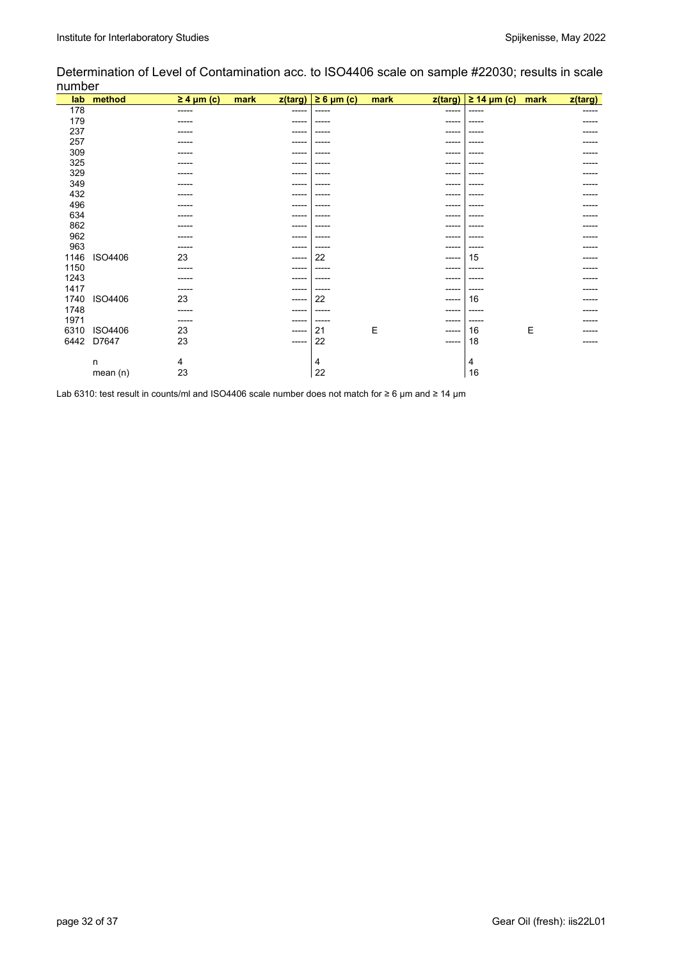Determination of Level of Contamination acc. to ISO4406 scale on sample #22030; results in scale number

| lab  | method     | $\geq 4$ µm (c) | mark<br>z(targ) | $\geq 6$ µm (c) | mark | z(targ)     | $\geq$ 14 µm (c) | mark | z(targ) |
|------|------------|-----------------|-----------------|-----------------|------|-------------|------------------|------|---------|
| 178  |            | ------          | -----           | -----           |      | -----       | -----            |      | -----   |
| 179  |            |                 | ----            | -----           |      | -----       |                  |      |         |
| 237  |            | -----           | -----           | -----           |      | -----       | ----             |      |         |
| 257  |            |                 | ----            |                 |      | ----        |                  |      |         |
| 309  |            | ----            | ----            | -----           |      | -----       |                  |      |         |
| 325  |            |                 | -----           | -----           |      | -----       |                  |      |         |
| 329  |            |                 | ----            | -----           |      | $---$       |                  |      |         |
| 349  |            | ----            | ----            | -----           |      | $---$       |                  |      |         |
| 432  |            |                 | ----            | -----           |      | -----       |                  |      |         |
| 496  |            |                 | -----           | -----           |      | -----       |                  |      |         |
| 634  |            | ----            | ----            | -----           |      | -----       |                  |      |         |
| 862  |            |                 | ----            | -----           |      | $---$       |                  |      |         |
| 962  |            |                 | ----            | -----           |      | -----       |                  |      |         |
| 963  |            | -----           | -----           | -----           |      | -----       | ----             |      |         |
| 1146 | ISO4406    | 23              | -----           | 22              |      | ------      | 15               |      |         |
| 1150 |            | -----           | ----            | -----           |      | -----       | ----             |      |         |
| 1243 |            |                 | ----            | -----           |      | -----       |                  |      |         |
| 1417 |            | -----           | -----           | -----           |      | -----       | ----             |      |         |
| 1740 | ISO4406    | 23              | $---$           | 22              |      | $- - - - -$ | 16               |      |         |
| 1748 |            | -----           | -----           | -----           |      | -----       | -----            |      |         |
| 1971 |            | -----           | -----           | -----           |      | ------      | -----            |      |         |
| 6310 | ISO4406    | 23              | -----           | 21              | Ε    | -----       | 16               | E    |         |
| 6442 | D7647      | 23              | -----           | 22              |      | $-----$     | 18               |      |         |
|      |            |                 |                 |                 |      |             |                  |      |         |
|      | n          | 4               |                 | 4               |      |             | 4                |      |         |
|      | mean $(n)$ | 23              |                 | 22              |      |             | 16               |      |         |

Lab 6310: test result in counts/ml and ISO4406 scale number does not match for ≥ 6 µm and ≥ 14 µm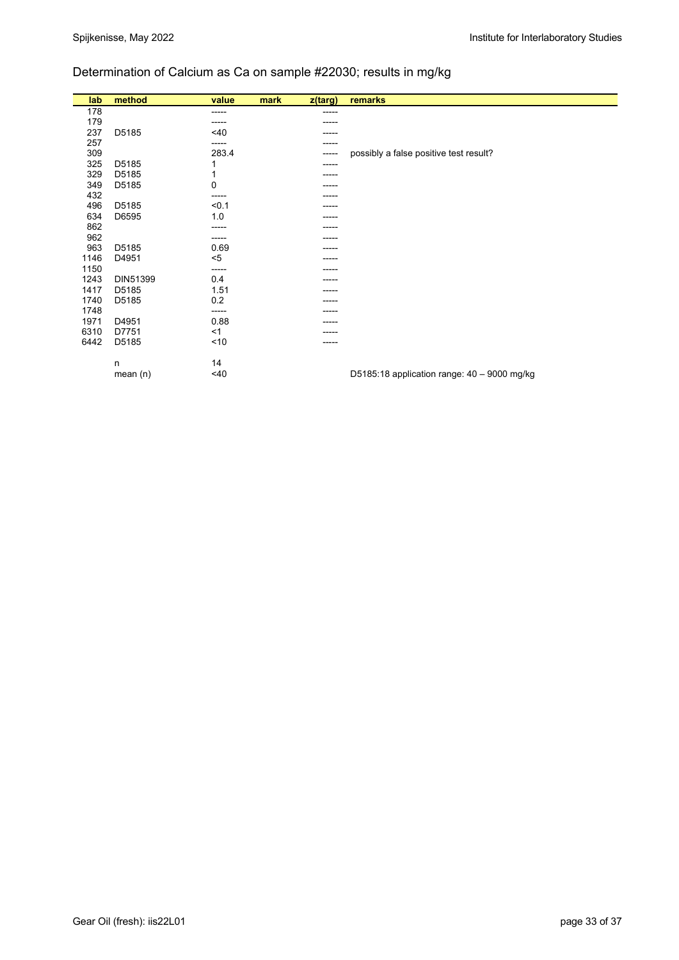# Determination of Calcium as Ca on sample #22030; results in mg/kg

| lab  | method     | value | mark | z(targ) | remarks                                       |
|------|------------|-------|------|---------|-----------------------------------------------|
| 178  |            | ----- |      | -----   |                                               |
| 179  |            | ----- |      |         |                                               |
| 237  | D5185      | <40   |      | -----   |                                               |
| 257  |            | ----- |      |         |                                               |
| 309  |            | 283.4 |      | -----   | possibly a false positive test result?        |
| 325  | D5185      |       |      | -----   |                                               |
| 329  | D5185      |       |      |         |                                               |
| 349  | D5185      | 0     |      |         |                                               |
| 432  |            | ----- |      |         |                                               |
| 496  | D5185      | < 0.1 |      |         |                                               |
| 634  | D6595      | 1.0   |      |         |                                               |
| 862  |            |       |      |         |                                               |
| 962  |            | ----- |      | -----   |                                               |
| 963  | D5185      | 0.69  |      | -----   |                                               |
| 1146 | D4951      | $5$   |      |         |                                               |
| 1150 |            | ----- |      |         |                                               |
| 1243 | DIN51399   | 0.4   |      |         |                                               |
| 1417 | D5185      | 1.51  |      |         |                                               |
| 1740 | D5185      | 0.2   |      |         |                                               |
| 1748 |            | ----- |      |         |                                               |
| 1971 | D4951      | 0.88  |      |         |                                               |
| 6310 | D7751      | $<$ 1 |      |         |                                               |
| 6442 | D5185      | ~10   |      | -----   |                                               |
|      |            |       |      |         |                                               |
|      | n          | 14    |      |         |                                               |
|      | mean $(n)$ | <40   |      |         | D5185:18 application range: $40 - 9000$ mg/kg |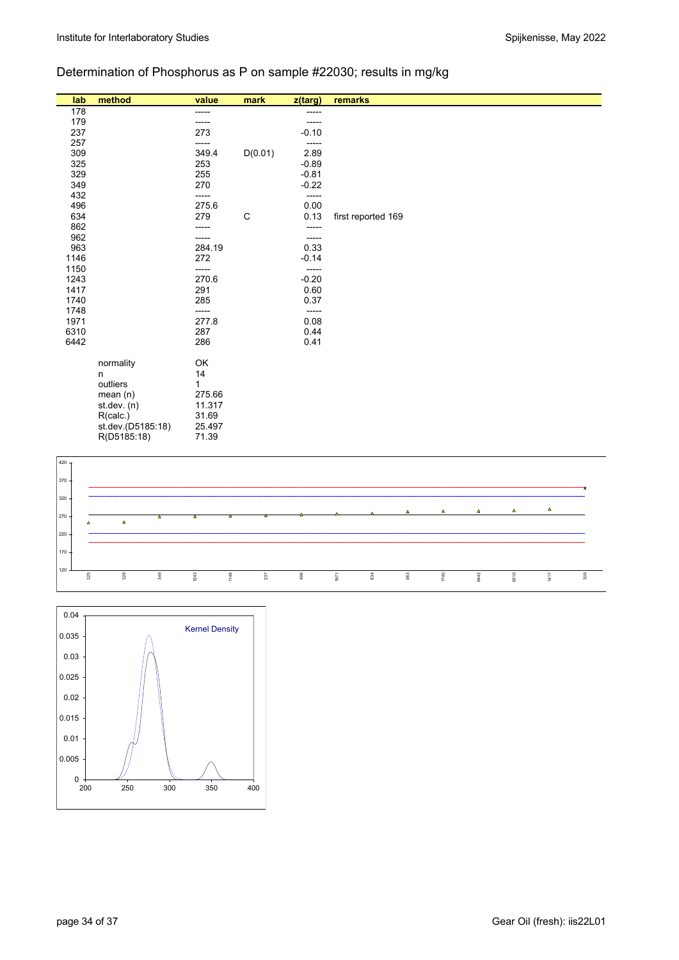# Determination of Phosphorus as P on sample #22030; results in mg/kg

| lab  | method            | value  | mark        | $z$ (targ) | remarks            |
|------|-------------------|--------|-------------|------------|--------------------|
| 178  |                   | -----  |             | -----      |                    |
| 179  |                   |        |             |            |                    |
| 237  |                   | 273    |             | $-0.10$    |                    |
| 257  |                   | -----  |             | -----      |                    |
| 309  |                   | 349.4  | D(0.01)     | 2.89       |                    |
| 325  |                   | 253    |             | $-0.89$    |                    |
| 329  |                   | 255    |             | $-0.81$    |                    |
| 349  |                   | 270    |             | $-0.22$    |                    |
| 432  |                   | -----  |             | -----      |                    |
| 496  |                   | 275.6  |             | 0.00       |                    |
| 634  |                   | 279    | $\mathsf C$ | 0.13       | first reported 169 |
| 862  |                   |        |             | -----      |                    |
| 962  |                   |        |             | -----      |                    |
| 963  |                   | 284.19 |             | 0.33       |                    |
| 1146 |                   | 272    |             | $-0.14$    |                    |
| 1150 |                   | -----  |             | -----      |                    |
| 1243 |                   | 270.6  |             | $-0.20$    |                    |
| 1417 |                   | 291    |             | 0.60       |                    |
| 1740 |                   | 285    |             | 0.37       |                    |
| 1748 |                   | -----  |             | -----      |                    |
| 1971 |                   | 277.8  |             | 0.08       |                    |
| 6310 |                   | 287    |             | 0.44       |                    |
| 6442 |                   | 286    |             | 0.41       |                    |
|      |                   |        |             |            |                    |
|      | normality         | OK     |             |            |                    |
|      | n                 | 14     |             |            |                    |
|      | outliers          | 1      |             |            |                    |
|      | mean $(n)$        | 275.66 |             |            |                    |
|      | st.dev. $(n)$     | 11.317 |             |            |                    |
|      | R(calc.)          | 31.69  |             |            |                    |
|      | st.dev.(D5185:18) | 25.497 |             |            |                    |
|      | R(D5185:18)       | 71.39  |             |            |                    |



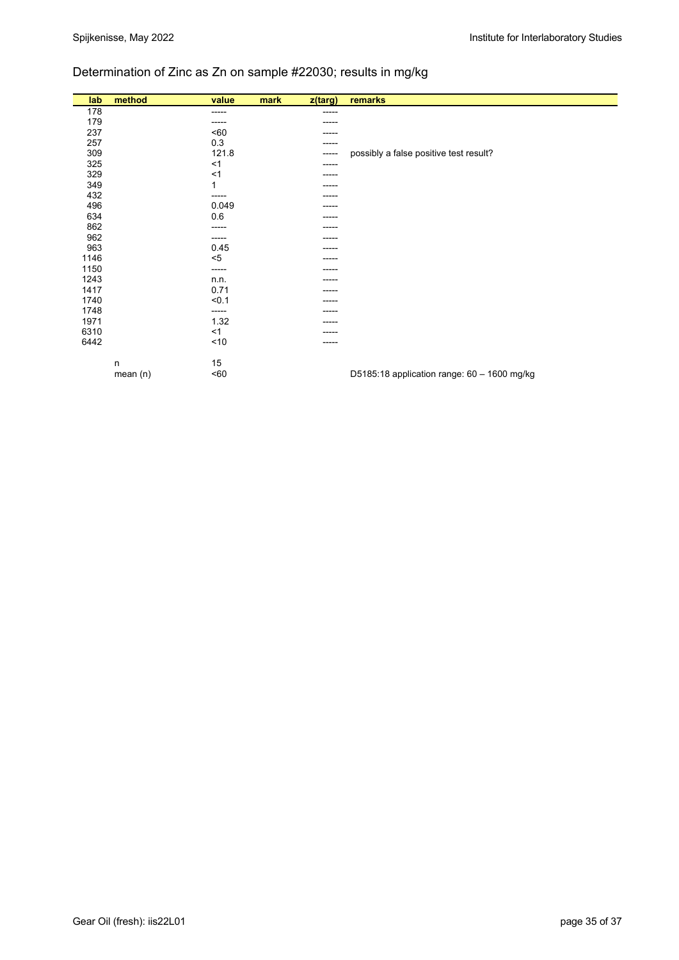# Determination of Zinc as Zn on sample #22030; results in mg/kg

| lab  | method  | value  | mark | z(targ) | remarks                                       |
|------|---------|--------|------|---------|-----------------------------------------------|
| 178  |         | -----  |      | ------  |                                               |
| 179  |         | -----  |      | -----   |                                               |
| 237  |         | <60    |      | -----   |                                               |
| 257  |         | 0.3    |      | -----   |                                               |
| 309  |         | 121.8  |      | -----   | possibly a false positive test result?        |
| 325  |         | $<$ 1  |      | -----   |                                               |
| 329  |         | $<$ 1  |      | -----   |                                               |
| 349  |         | 1      |      | -----   |                                               |
| 432  |         | ------ |      | -----   |                                               |
| 496  |         | 0.049  |      |         |                                               |
| 634  |         | 0.6    |      |         |                                               |
| 862  |         | -----  |      |         |                                               |
| 962  |         | ------ |      | -----   |                                               |
| 963  |         | 0.45   |      |         |                                               |
| 1146 |         | $5$    |      | -----   |                                               |
| 1150 |         | ------ |      | -----   |                                               |
| 1243 |         | n.n.   |      |         |                                               |
| 1417 |         | 0.71   |      |         |                                               |
| 1740 |         | < 0.1  |      | -----   |                                               |
| 1748 |         | -----  |      |         |                                               |
| 1971 |         | 1.32   |      |         |                                               |
| 6310 |         | $<$ 1  |      | -----   |                                               |
| 6442 |         | < 10   |      |         |                                               |
|      |         |        |      |         |                                               |
|      | n       | 15     |      |         |                                               |
|      | mean(n) | 50     |      |         | D5185:18 application range: $60 - 1600$ mg/kg |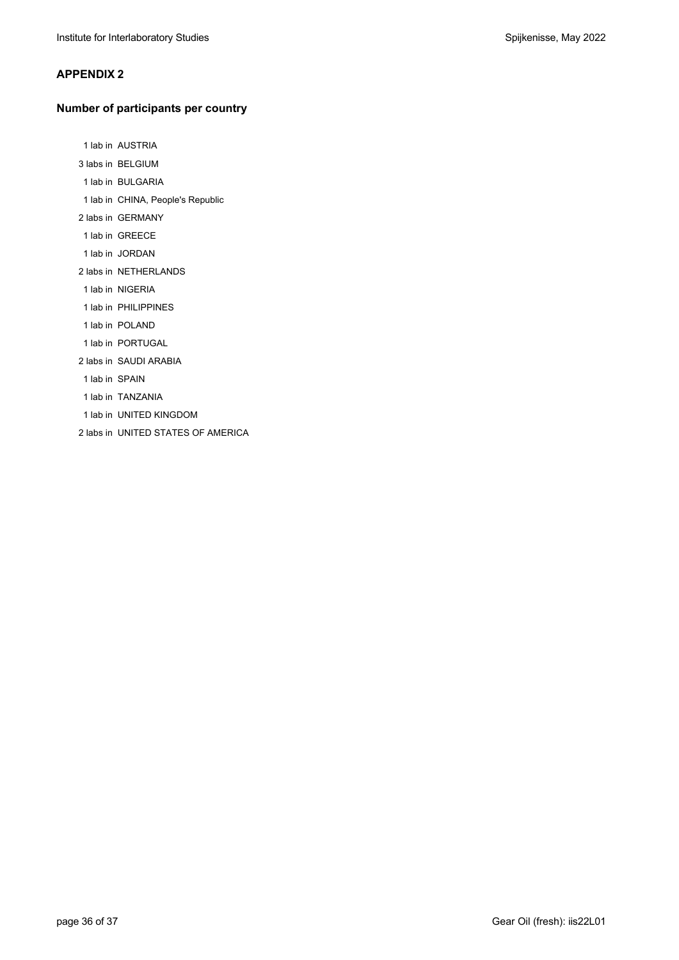#### **APPENDIX 2**

#### **Number of participants per country**

1 lab in AUSTRIA

- 3 labs in BELGIUM
- 1 lab in BULGARIA
- 1 lab in CHINA, People's Republic
- 2 labs in GERMANY
- 1 lab in GREECE
- 1 lab in JORDAN
- 2 labs in NETHERLANDS
- 1 lab in NIGERIA
- 1 lab in PHILIPPINES
- 1 lab in POLAND
- 1 lab in PORTUGAL
- 2 labs in SAUDI ARABIA
- 1 lab in SPAIN
- 1 lab in TANZANIA
- 1 lab in UNITED KINGDOM
- 2 labs in UNITED STATES OF AMERICA